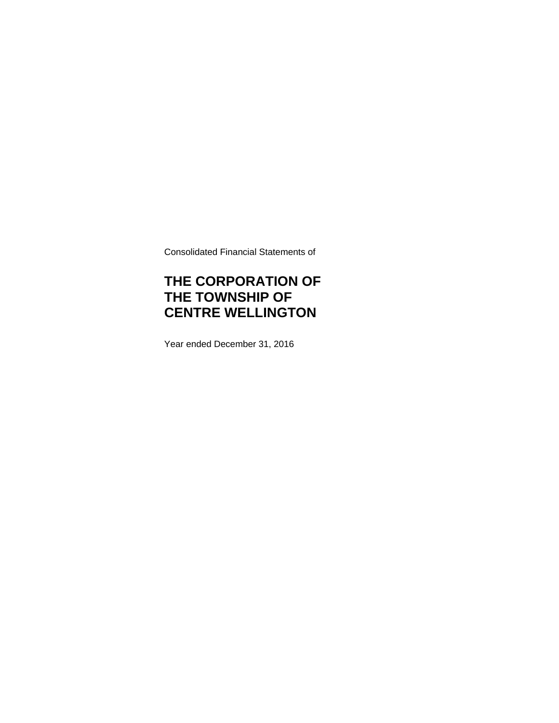Consolidated Financial Statements of

# **THE CORPORATION OF THE TOWNSHIP OF CENTRE WELLINGTON**

Year ended December 31, 2016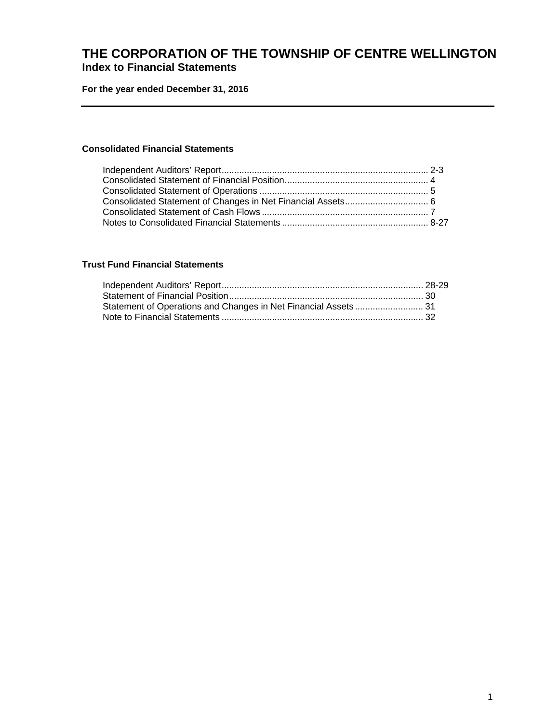### **THE CORPORATION OF THE TOWNSHIP OF CENTRE WELLINGTON Index to Financial Statements**

**For the year ended December 31, 2016** 

### **Consolidated Financial Statements**

### **Trust Fund Financial Statements**

| Statement of Operations and Changes in Net Financial Assets 31 |  |
|----------------------------------------------------------------|--|
|                                                                |  |
|                                                                |  |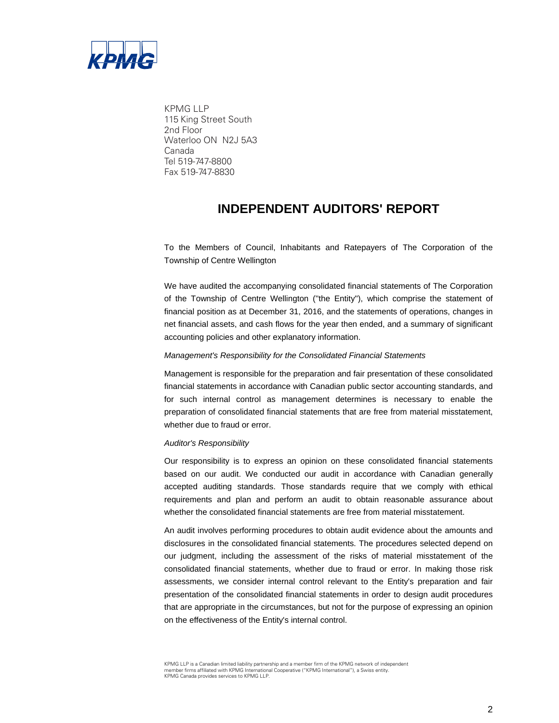

KPMG LLP 115 King Street South 2nd Floor Waterloo ON N2J 5A3 Canada Tel 519-747-8800 Fax 519-747-8830

## **INDEPENDENT AUDITORS' REPORT**

To the Members of Council, Inhabitants and Ratepayers of The Corporation of the Township of Centre Wellington

We have audited the accompanying consolidated financial statements of The Corporation of the Township of Centre Wellington (''the Entity''), which comprise the statement of financial position as at December 31, 2016, and the statements of operations, changes in net financial assets, and cash flows for the year then ended, and a summary of significant accounting policies and other explanatory information.

#### *Management's Responsibility for the Consolidated Financial Statements*

Management is responsible for the preparation and fair presentation of these consolidated financial statements in accordance with Canadian public sector accounting standards, and for such internal control as management determines is necessary to enable the preparation of consolidated financial statements that are free from material misstatement, whether due to fraud or error.

#### *Auditor's Responsibility*

Our responsibility is to express an opinion on these consolidated financial statements based on our audit. We conducted our audit in accordance with Canadian generally accepted auditing standards. Those standards require that we comply with ethical requirements and plan and perform an audit to obtain reasonable assurance about whether the consolidated financial statements are free from material misstatement.

An audit involves performing procedures to obtain audit evidence about the amounts and disclosures in the consolidated financial statements. The procedures selected depend on our judgment, including the assessment of the risks of material misstatement of the consolidated financial statements, whether due to fraud or error. In making those risk assessments, we consider internal control relevant to the Entity's preparation and fair presentation of the consolidated financial statements in order to design audit procedures that are appropriate in the circumstances, but not for the purpose of expressing an opinion on the effectiveness of the Entity's internal control.

KPMG LLP is a Canadian limited liability partnership and a member firm of the KPMG network of independent member firms affiliated with KPMG International Cooperative ("KPMG International"), a Swiss entity. KPMG Canada provides services to KPMG LLP.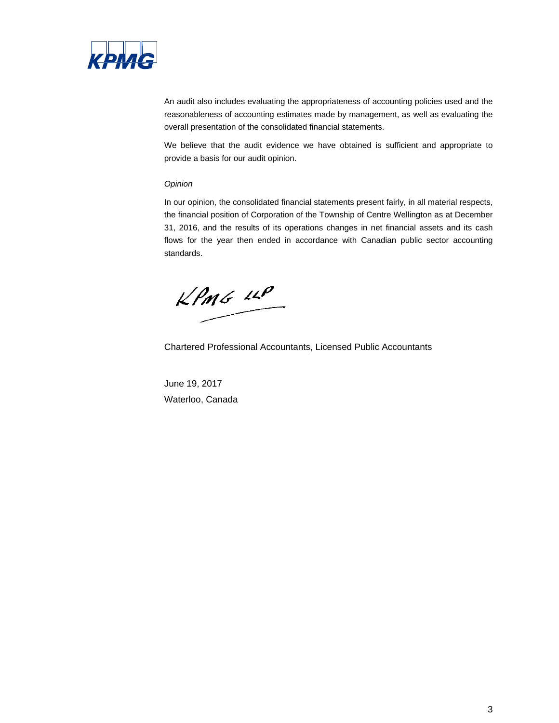

An audit also includes evaluating the appropriateness of accounting policies used and the reasonableness of accounting estimates made by management, as well as evaluating the overall presentation of the consolidated financial statements.

We believe that the audit evidence we have obtained is sufficient and appropriate to provide a basis for our audit opinion.

#### *Opinion*

In our opinion, the consolidated financial statements present fairly, in all material respects, the financial position of Corporation of the Township of Centre Wellington as at December 31, 2016, and the results of its operations changes in net financial assets and its cash flows for the year then ended in accordance with Canadian public sector accounting standards.

 $kPMS$   $\mu P$ 

Chartered Professional Accountants, Licensed Public Accountants

June 19, 2017 Waterloo, Canada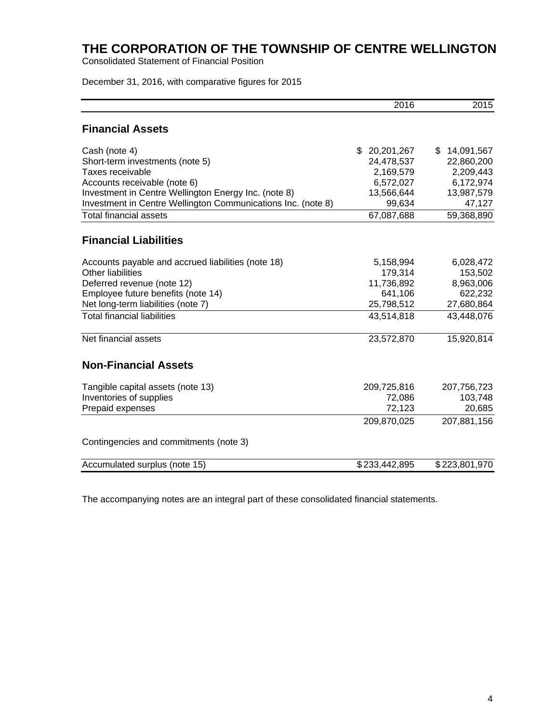Consolidated Statement of Financial Position

December 31, 2016, with comparative figures for 2015

|                                                              | 2016              | 2015             |
|--------------------------------------------------------------|-------------------|------------------|
| <b>Financial Assets</b>                                      |                   |                  |
| Cash (note 4)                                                | \$.<br>20,201,267 | 14,091,567<br>\$ |
| Short-term investments (note 5)                              | 24,478,537        | 22,860,200       |
| Taxes receivable                                             | 2,169,579         | 2,209,443        |
| Accounts receivable (note 6)                                 | 6,572,027         | 6,172,974        |
| Investment in Centre Wellington Energy Inc. (note 8)         | 13,566,644        | 13,987,579       |
| Investment in Centre Wellington Communications Inc. (note 8) | 99,634            | 47,127           |
| <b>Total financial assets</b>                                | 67,087,688        | 59,368,890       |
| <b>Financial Liabilities</b>                                 |                   |                  |
| Accounts payable and accrued liabilities (note 18)           | 5,158,994         | 6,028,472        |
| <b>Other liabilities</b>                                     | 179,314           | 153,502          |
| Deferred revenue (note 12)                                   | 11,736,892        | 8,963,006        |
| Employee future benefits (note 14)                           | 641,106           | 622,232          |
| Net long-term liabilities (note 7)                           | 25,798,512        | 27,680,864       |
| <b>Total financial liabilities</b>                           | 43,514,818        | 43,448,076       |
| Net financial assets                                         | 23,572,870        | 15,920,814       |
| <b>Non-Financial Assets</b>                                  |                   |                  |
| Tangible capital assets (note 13)                            | 209,725,816       | 207,756,723      |
| Inventories of supplies                                      | 72,086            | 103,748          |
| Prepaid expenses                                             | 72,123            | 20,685           |
|                                                              | 209,870,025       | 207,881,156      |
| Contingencies and commitments (note 3)                       |                   |                  |
| Accumulated surplus (note 15)                                | \$233,442,895     | \$223,801,970    |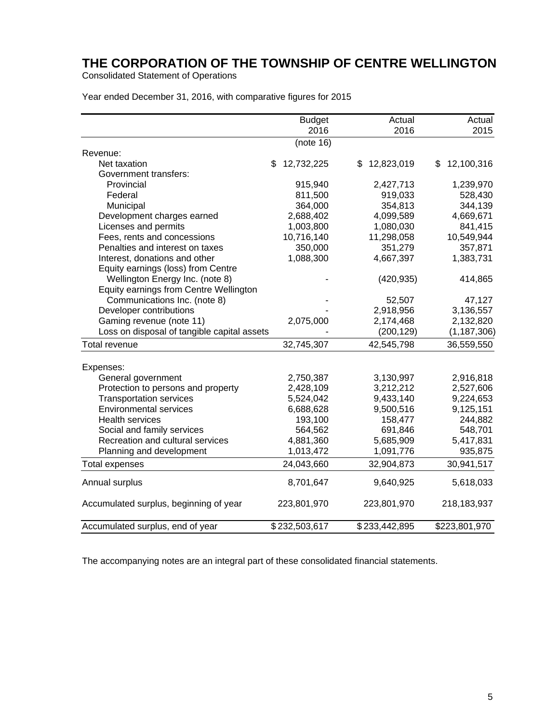Consolidated Statement of Operations

| Year ended December 31, 2016, with comparative figures for 2015 |
|-----------------------------------------------------------------|
|-----------------------------------------------------------------|

|                                             |     | <b>Budget</b> | Actual           |    | Actual        |
|---------------------------------------------|-----|---------------|------------------|----|---------------|
|                                             |     | 2016          | 2016             |    | 2015          |
|                                             |     | (note 16)     |                  |    |               |
| Revenue:                                    |     |               |                  |    |               |
| Net taxation                                | \$. | 12,732,225    | \$<br>12,823,019 | S. | 12,100,316    |
| Government transfers:                       |     |               |                  |    |               |
| Provincial                                  |     | 915,940       | 2,427,713        |    | 1,239,970     |
| Federal                                     |     | 811,500       | 919,033          |    | 528,430       |
| Municipal                                   |     | 364,000       | 354,813          |    | 344,139       |
| Development charges earned                  |     | 2,688,402     | 4,099,589        |    | 4,669,671     |
| Licenses and permits                        |     | 1,003,800     | 1,080,030        |    | 841,415       |
| Fees, rents and concessions                 |     | 10,716,140    | 11,298,058       |    | 10,549,944    |
| Penalties and interest on taxes             |     | 350,000       | 351,279          |    | 357,871       |
| Interest, donations and other               |     | 1,088,300     | 4,667,397        |    | 1,383,731     |
| Equity earnings (loss) from Centre          |     |               |                  |    |               |
| Wellington Energy Inc. (note 8)             |     |               | (420, 935)       |    | 414,865       |
| Equity earnings from Centre Wellington      |     |               |                  |    |               |
| Communications Inc. (note 8)                |     |               | 52,507           |    | 47,127        |
| Developer contributions                     |     |               | 2,918,956        |    | 3,136,557     |
| Gaming revenue (note 11)                    |     | 2,075,000     | 2,174,468        |    | 2,132,820     |
| Loss on disposal of tangible capital assets |     |               | (200, 129)       |    | (1, 187, 306) |
| Total revenue                               |     | 32,745,307    | 42,545,798       |    | 36,559,550    |
|                                             |     |               |                  |    |               |
| Expenses:                                   |     |               |                  |    |               |
| General government                          |     | 2,750,387     | 3,130,997        |    | 2,916,818     |
| Protection to persons and property          |     | 2,428,109     | 3,212,212        |    | 2,527,606     |
| <b>Transportation services</b>              |     | 5,524,042     | 9,433,140        |    | 9,224,653     |
| <b>Environmental services</b>               |     | 6,688,628     | 9,500,516        |    | 9,125,151     |
| <b>Health services</b>                      |     | 193,100       | 158,477          |    | 244,882       |
| Social and family services                  |     | 564,562       | 691,846          |    | 548,701       |
| Recreation and cultural services            |     | 4,881,360     | 5,685,909        |    | 5,417,831     |
| Planning and development                    |     | 1,013,472     | 1,091,776        |    | 935,875       |
| <b>Total expenses</b>                       |     | 24,043,660    | 32,904,873       |    | 30,941,517    |
| Annual surplus                              |     | 8,701,647     | 9,640,925        |    | 5,618,033     |
| Accumulated surplus, beginning of year      |     | 223,801,970   | 223,801,970      |    | 218,183,937   |
| Accumulated surplus, end of year            |     | \$232,503,617 | \$233,442,895    |    | \$223,801,970 |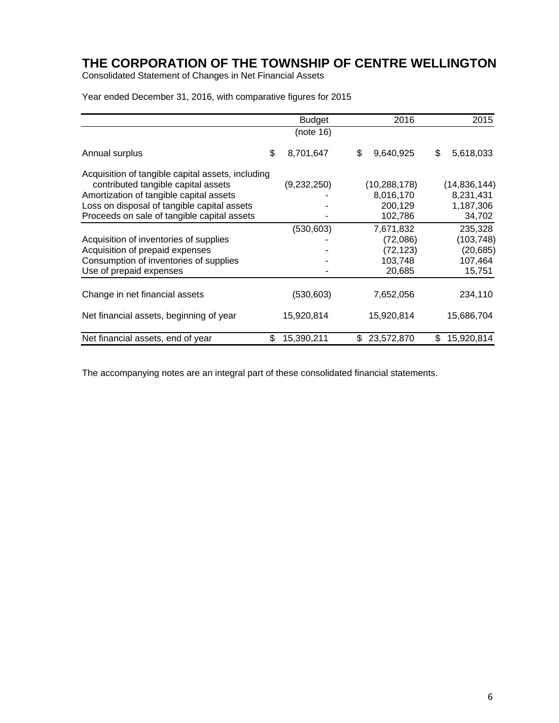Consolidated Statement of Changes in Net Financial Assets

Year ended December 31, 2016, with comparative figures for 2015

|                                                                                          | <b>Budget</b>    | 2016             | 2015             |
|------------------------------------------------------------------------------------------|------------------|------------------|------------------|
|                                                                                          | (note 16)        |                  |                  |
| Annual surplus                                                                           | \$<br>8,701,647  | \$<br>9,640,925  | \$<br>5,618,033  |
| Acquisition of tangible capital assets, including<br>contributed tangible capital assets | (9,232,250)      | (10, 288, 178)   | (14,836,144)     |
| Amortization of tangible capital assets                                                  |                  | 8,016,170        | 8,231,431        |
| Loss on disposal of tangible capital assets                                              |                  | 200,129          | 1,187,306        |
| Proceeds on sale of tangible capital assets                                              |                  | 102,786          | 34,702           |
|                                                                                          | (530, 603)       | 7,671,832        | 235,328          |
| Acquisition of inventories of supplies                                                   |                  | (72,086)         | (103, 748)       |
| Acquisition of prepaid expenses                                                          |                  | (72, 123)        | (20, 685)        |
| Consumption of inventories of supplies                                                   |                  | 103,748          | 107,464          |
| Use of prepaid expenses                                                                  |                  | 20,685           | 15,751           |
|                                                                                          |                  |                  |                  |
| Change in net financial assets                                                           | (530, 603)       | 7,652,056        | 234,110          |
| Net financial assets, beginning of year                                                  | 15,920,814       | 15,920,814       | 15,686,704       |
| Net financial assets, end of year                                                        | \$<br>15,390,211 | \$<br>23,572,870 | \$<br>15,920,814 |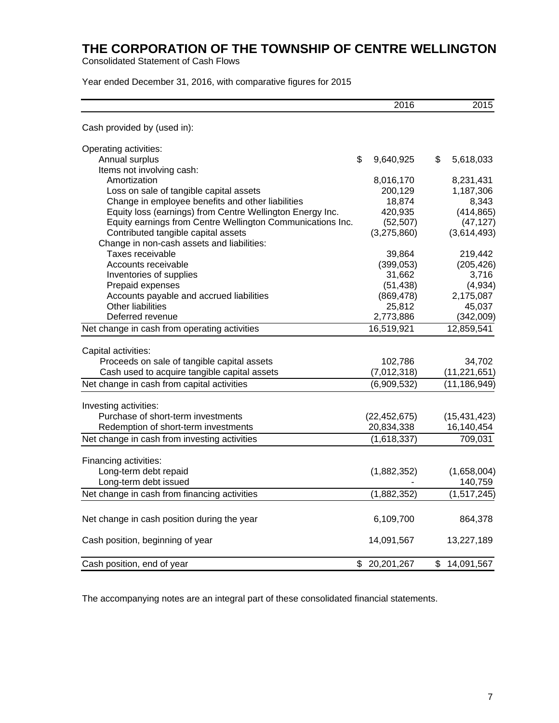Consolidated Statement of Cash Flows

Year ended December 31, 2016, with comparative figures for 2015

|                                                            | 2016             | 2015             |
|------------------------------------------------------------|------------------|------------------|
| Cash provided by (used in):                                |                  |                  |
| Operating activities:                                      |                  |                  |
| Annual surplus                                             | \$<br>9,640,925  | \$<br>5,618,033  |
| Items not involving cash:                                  |                  |                  |
| Amortization                                               | 8,016,170        | 8,231,431        |
| Loss on sale of tangible capital assets                    | 200,129          | 1,187,306        |
| Change in employee benefits and other liabilities          | 18,874           | 8,343            |
| Equity loss (earnings) from Centre Wellington Energy Inc.  | 420,935          | (414, 865)       |
| Equity earnings from Centre Wellington Communications Inc. | (52, 507)        | (47, 127)        |
| Contributed tangible capital assets                        | (3,275,860)      | (3,614,493)      |
| Change in non-cash assets and liabilities:                 |                  |                  |
| Taxes receivable                                           | 39,864           | 219,442          |
| Accounts receivable                                        | (399, 053)       | (205, 426)       |
| Inventories of supplies                                    | 31,662           | 3,716            |
| Prepaid expenses                                           | (51, 438)        | (4,934)          |
| Accounts payable and accrued liabilities                   | (869, 478)       | 2,175,087        |
| <b>Other liabilities</b>                                   | 25,812           | 45,037           |
| Deferred revenue                                           | 2,773,886        | (342,009)        |
| Net change in cash from operating activities               | 16,519,921       | 12,859,541       |
| Capital activities:                                        |                  |                  |
| Proceeds on sale of tangible capital assets                | 102,786          | 34,702           |
| Cash used to acquire tangible capital assets               | (7,012,318)      | (11, 221, 651)   |
| Net change in cash from capital activities                 | (6,909,532)      | (11, 186, 949)   |
| Investing activities:                                      |                  |                  |
| Purchase of short-term investments                         | (22, 452, 675)   | (15, 431, 423)   |
| Redemption of short-term investments                       | 20,834,338       | 16,140,454       |
| Net change in cash from investing activities               | (1,618,337)      | 709,031          |
|                                                            |                  |                  |
| Financing activities:                                      |                  |                  |
| Long-term debt repaid                                      | (1,882,352)      | (1,658,004)      |
| Long-term debt issued                                      |                  | 140,759          |
| Net change in cash from financing activities               | (1,882,352)      | (1,517,245)      |
| Net change in cash position during the year                | 6,109,700        | 864,378          |
| Cash position, beginning of year                           | 14,091,567       | 13,227,189       |
| Cash position, end of year                                 | \$<br>20,201,267 | \$<br>14,091,567 |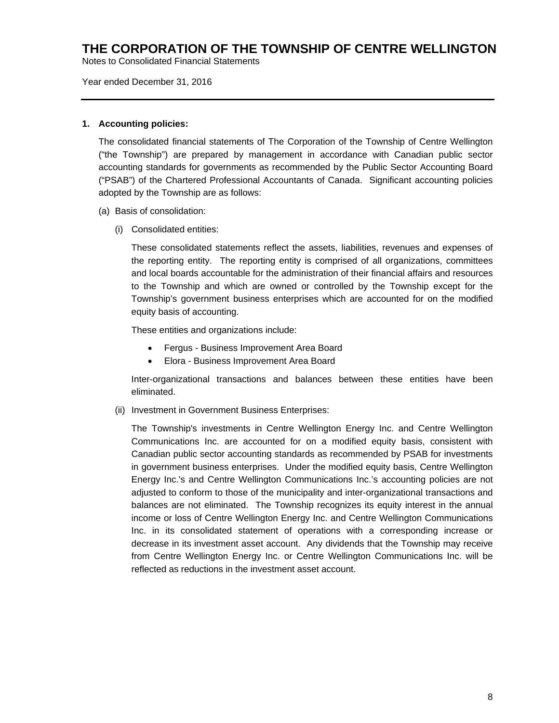Notes to Consolidated Financial Statements

Year ended December 31, 2016

#### **1. Accounting policies:**

The consolidated financial statements of The Corporation of the Township of Centre Wellington ("the Township") are prepared by management in accordance with Canadian public sector accounting standards for governments as recommended by the Public Sector Accounting Board ("PSAB") of the Chartered Professional Accountants of Canada. Significant accounting policies adopted by the Township are as follows:

- (a) Basis of consolidation:
	- (i) Consolidated entities:

These consolidated statements reflect the assets, liabilities, revenues and expenses of the reporting entity. The reporting entity is comprised of all organizations, committees and local boards accountable for the administration of their financial affairs and resources to the Township and which are owned or controlled by the Township except for the Township's government business enterprises which are accounted for on the modified equity basis of accounting.

These entities and organizations include:

- Fergus Business Improvement Area Board
- Elora Business Improvement Area Board

Inter-organizational transactions and balances between these entities have been eliminated.

(ii) Investment in Government Business Enterprises:

The Township's investments in Centre Wellington Energy Inc. and Centre Wellington Communications Inc. are accounted for on a modified equity basis, consistent with Canadian public sector accounting standards as recommended by PSAB for investments in government business enterprises. Under the modified equity basis, Centre Wellington Energy Inc.'s and Centre Wellington Communications Inc.'s accounting policies are not adjusted to conform to those of the municipality and inter-organizational transactions and balances are not eliminated. The Township recognizes its equity interest in the annual income or loss of Centre Wellington Energy Inc. and Centre Wellington Communications Inc. in its consolidated statement of operations with a corresponding increase or decrease in its investment asset account. Any dividends that the Township may receive from Centre Wellington Energy Inc. or Centre Wellington Communications Inc. will be reflected as reductions in the investment asset account.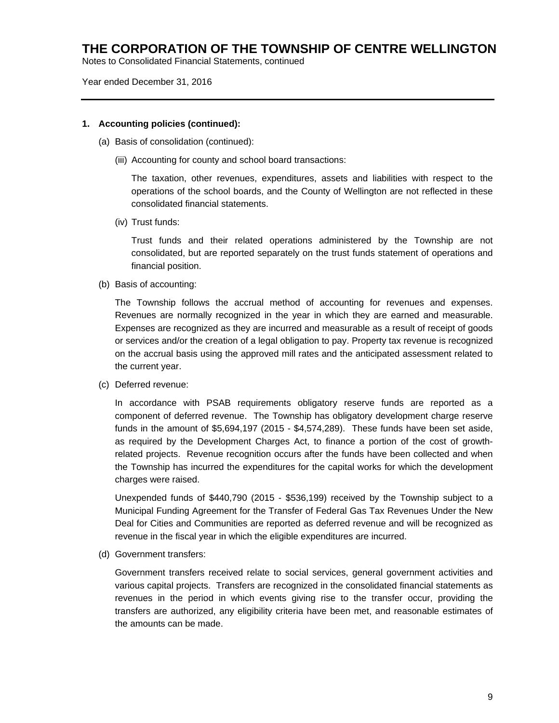Notes to Consolidated Financial Statements, continued

#### Year ended December 31, 2016

#### **1. Accounting policies (continued):**

- (a) Basis of consolidation (continued):
	- (iii) Accounting for county and school board transactions:

The taxation, other revenues, expenditures, assets and liabilities with respect to the operations of the school boards, and the County of Wellington are not reflected in these consolidated financial statements.

(iv) Trust funds:

Trust funds and their related operations administered by the Township are not consolidated, but are reported separately on the trust funds statement of operations and financial position.

(b) Basis of accounting:

The Township follows the accrual method of accounting for revenues and expenses. Revenues are normally recognized in the year in which they are earned and measurable. Expenses are recognized as they are incurred and measurable as a result of receipt of goods or services and/or the creation of a legal obligation to pay. Property tax revenue is recognized on the accrual basis using the approved mill rates and the anticipated assessment related to the current year.

(c) Deferred revenue:

In accordance with PSAB requirements obligatory reserve funds are reported as a component of deferred revenue. The Township has obligatory development charge reserve funds in the amount of \$5,694,197 (2015 - \$4,574,289). These funds have been set aside, as required by the Development Charges Act, to finance a portion of the cost of growthrelated projects. Revenue recognition occurs after the funds have been collected and when the Township has incurred the expenditures for the capital works for which the development charges were raised.

Unexpended funds of \$440,790 (2015 - \$536,199) received by the Township subject to a Municipal Funding Agreement for the Transfer of Federal Gas Tax Revenues Under the New Deal for Cities and Communities are reported as deferred revenue and will be recognized as revenue in the fiscal year in which the eligible expenditures are incurred.

(d) Government transfers:

Government transfers received relate to social services, general government activities and various capital projects. Transfers are recognized in the consolidated financial statements as revenues in the period in which events giving rise to the transfer occur, providing the transfers are authorized, any eligibility criteria have been met, and reasonable estimates of the amounts can be made.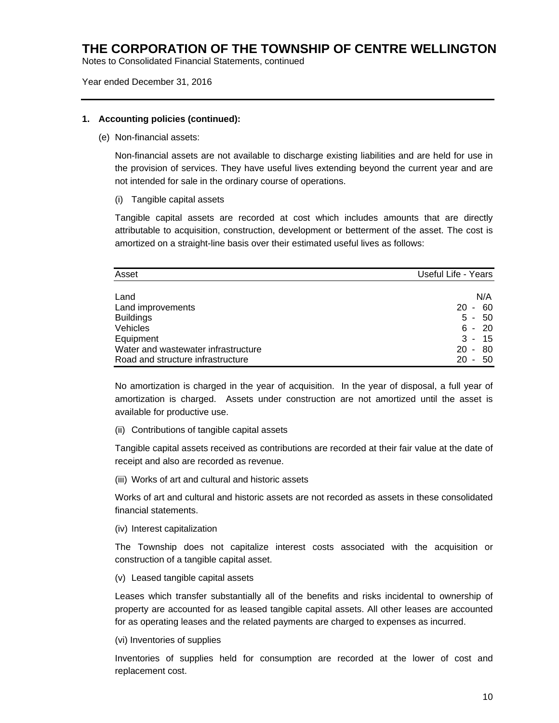Notes to Consolidated Financial Statements, continued

#### Year ended December 31, 2016

#### **1. Accounting policies (continued):**

(e) Non-financial assets:

Non-financial assets are not available to discharge existing liabilities and are held for use in the provision of services. They have useful lives extending beyond the current year and are not intended for sale in the ordinary course of operations.

(i) Tangible capital assets

Tangible capital assets are recorded at cost which includes amounts that are directly attributable to acquisition, construction, development or betterment of the asset. The cost is amortized on a straight-line basis over their estimated useful lives as follows:

| Asset                               | Useful Life - Years                  |
|-------------------------------------|--------------------------------------|
|                                     |                                      |
| Land                                | N/A                                  |
| Land improvements                   | 60<br><b>20</b><br>$\sim$            |
| <b>Buildings</b>                    | 50<br>$5 -$                          |
| Vehicles                            | -20<br>6 -                           |
| Equipment                           | $3 -$<br>15                          |
| Water and wastewater infrastructure | 80<br>20<br>$\sim$                   |
| Road and structure infrastructure   | 20<br>50<br>$\overline{\phantom{a}}$ |

No amortization is charged in the year of acquisition. In the year of disposal, a full year of amortization is charged. Assets under construction are not amortized until the asset is available for productive use.

(ii) Contributions of tangible capital assets

Tangible capital assets received as contributions are recorded at their fair value at the date of receipt and also are recorded as revenue.

(iii) Works of art and cultural and historic assets

Works of art and cultural and historic assets are not recorded as assets in these consolidated financial statements.

(iv) Interest capitalization

The Township does not capitalize interest costs associated with the acquisition or construction of a tangible capital asset.

(v) Leased tangible capital assets

Leases which transfer substantially all of the benefits and risks incidental to ownership of property are accounted for as leased tangible capital assets. All other leases are accounted for as operating leases and the related payments are charged to expenses as incurred.

(vi) Inventories of supplies

Inventories of supplies held for consumption are recorded at the lower of cost and replacement cost.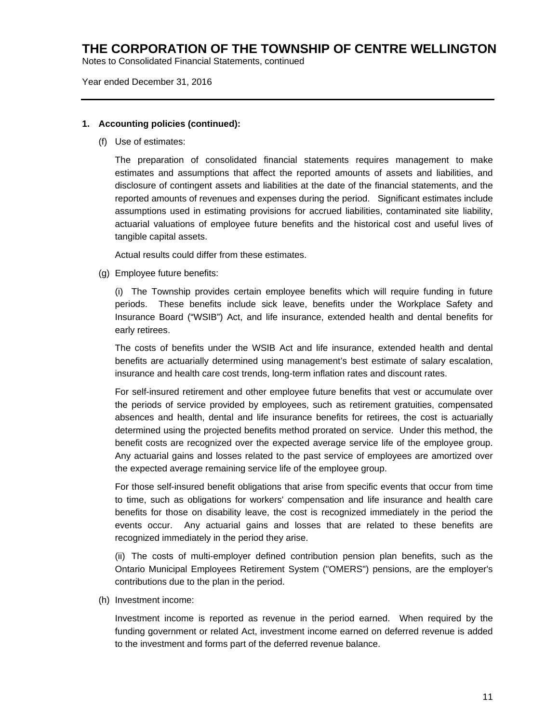Notes to Consolidated Financial Statements, continued

#### Year ended December 31, 2016

#### **1. Accounting policies (continued):**

(f) Use of estimates:

The preparation of consolidated financial statements requires management to make estimates and assumptions that affect the reported amounts of assets and liabilities, and disclosure of contingent assets and liabilities at the date of the financial statements, and the reported amounts of revenues and expenses during the period. Significant estimates include assumptions used in estimating provisions for accrued liabilities, contaminated site liability, actuarial valuations of employee future benefits and the historical cost and useful lives of tangible capital assets.

Actual results could differ from these estimates.

(g) Employee future benefits:

(i) The Township provides certain employee benefits which will require funding in future periods. These benefits include sick leave, benefits under the Workplace Safety and Insurance Board ("WSIB") Act, and life insurance, extended health and dental benefits for early retirees.

The costs of benefits under the WSIB Act and life insurance, extended health and dental benefits are actuarially determined using management's best estimate of salary escalation, insurance and health care cost trends, long-term inflation rates and discount rates.

For self-insured retirement and other employee future benefits that vest or accumulate over the periods of service provided by employees, such as retirement gratuities, compensated absences and health, dental and life insurance benefits for retirees, the cost is actuarially determined using the projected benefits method prorated on service. Under this method, the benefit costs are recognized over the expected average service life of the employee group. Any actuarial gains and losses related to the past service of employees are amortized over the expected average remaining service life of the employee group.

For those self-insured benefit obligations that arise from specific events that occur from time to time, such as obligations for workers' compensation and life insurance and health care benefits for those on disability leave, the cost is recognized immediately in the period the events occur. Any actuarial gains and losses that are related to these benefits are recognized immediately in the period they arise.

(ii) The costs of multi-employer defined contribution pension plan benefits, such as the Ontario Municipal Employees Retirement System ("OMERS") pensions, are the employer's contributions due to the plan in the period.

(h) Investment income:

Investment income is reported as revenue in the period earned. When required by the funding government or related Act, investment income earned on deferred revenue is added to the investment and forms part of the deferred revenue balance.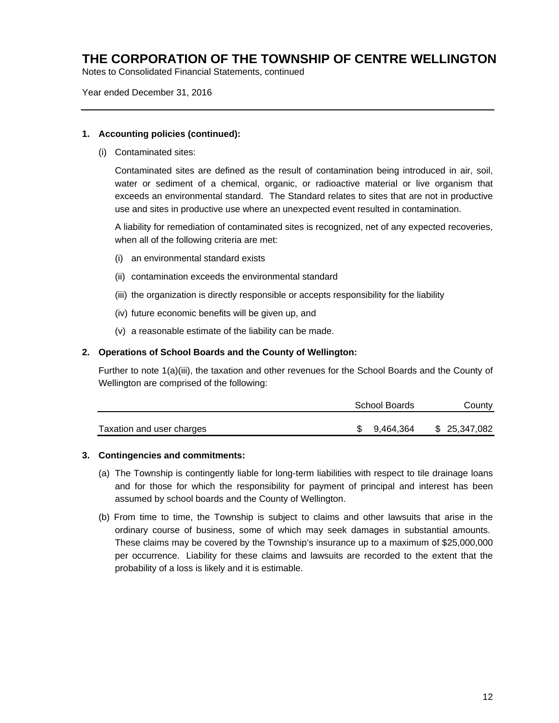Notes to Consolidated Financial Statements, continued

Year ended December 31, 2016

#### **1. Accounting policies (continued):**

(i) Contaminated sites:

Contaminated sites are defined as the result of contamination being introduced in air, soil, water or sediment of a chemical, organic, or radioactive material or live organism that exceeds an environmental standard. The Standard relates to sites that are not in productive use and sites in productive use where an unexpected event resulted in contamination.

A liability for remediation of contaminated sites is recognized, net of any expected recoveries, when all of the following criteria are met:

- (i) an environmental standard exists
- (ii) contamination exceeds the environmental standard
- (iii) the organization is directly responsible or accepts responsibility for the liability
- (iv) future economic benefits will be given up, and
- (v) a reasonable estimate of the liability can be made.

### **2. Operations of School Boards and the County of Wellington:**

Further to note 1(a)(iii), the taxation and other revenues for the School Boards and the County of Wellington are comprised of the following:

|                           | School Boards | County        |
|---------------------------|---------------|---------------|
| Taxation and user charges | \$ 9,464,364  | \$ 25,347,082 |

#### **3. Contingencies and commitments:**

- (a) The Township is contingently liable for long-term liabilities with respect to tile drainage loans and for those for which the responsibility for payment of principal and interest has been assumed by school boards and the County of Wellington.
- (b) From time to time, the Township is subject to claims and other lawsuits that arise in the ordinary course of business, some of which may seek damages in substantial amounts. These claims may be covered by the Township's insurance up to a maximum of \$25,000,000 per occurrence. Liability for these claims and lawsuits are recorded to the extent that the probability of a loss is likely and it is estimable.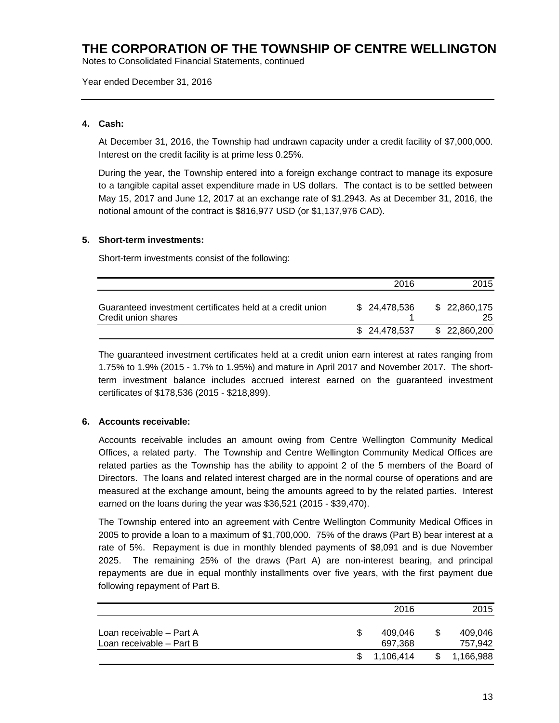Notes to Consolidated Financial Statements, continued

Year ended December 31, 2016

### **4. Cash:**

At December 31, 2016, the Township had undrawn capacity under a credit facility of \$7,000,000. Interest on the credit facility is at prime less 0.25%.

During the year, the Township entered into a foreign exchange contract to manage its exposure to a tangible capital asset expenditure made in US dollars. The contact is to be settled between May 15, 2017 and June 12, 2017 at an exchange rate of \$1.2943. As at December 31, 2016, the notional amount of the contract is \$816,977 USD (or \$1,137,976 CAD).

### **5. Short-term investments:**

Short-term investments consist of the following:

|                                                                                  | 2016         | 2015                |
|----------------------------------------------------------------------------------|--------------|---------------------|
| Guaranteed investment certificates held at a credit union<br>Credit union shares | \$24.478.536 | \$ 22,860,175<br>25 |
|                                                                                  | \$24,478,537 | \$ 22,860,200       |

The guaranteed investment certificates held at a credit union earn interest at rates ranging from 1.75% to 1.9% (2015 - 1.7% to 1.95%) and mature in April 2017 and November 2017. The shortterm investment balance includes accrued interest earned on the guaranteed investment certificates of \$178,536 (2015 - \$218,899).

### **6. Accounts receivable:**

Accounts receivable includes an amount owing from Centre Wellington Community Medical Offices, a related party. The Township and Centre Wellington Community Medical Offices are related parties as the Township has the ability to appoint 2 of the 5 members of the Board of Directors. The loans and related interest charged are in the normal course of operations and are measured at the exchange amount, being the amounts agreed to by the related parties. Interest earned on the loans during the year was \$36,521 (2015 - \$39,470).

The Township entered into an agreement with Centre Wellington Community Medical Offices in 2005 to provide a loan to a maximum of \$1,700,000. 75% of the draws (Part B) bear interest at a rate of 5%. Repayment is due in monthly blended payments of \$8,091 and is due November 2025. The remaining 25% of the draws (Part A) are non-interest bearing, and principal repayments are due in equal monthly installments over five years, with the first payment due following repayment of Part B.

|                                                      |     | 2016               |    | 2015               |
|------------------------------------------------------|-----|--------------------|----|--------------------|
| Loan receivable – Part A<br>Loan receivable - Part B |     | 409.046<br>697,368 | \$ | 409.046<br>757.942 |
|                                                      | \$. | 1.106.414          | S. | 1,166,988          |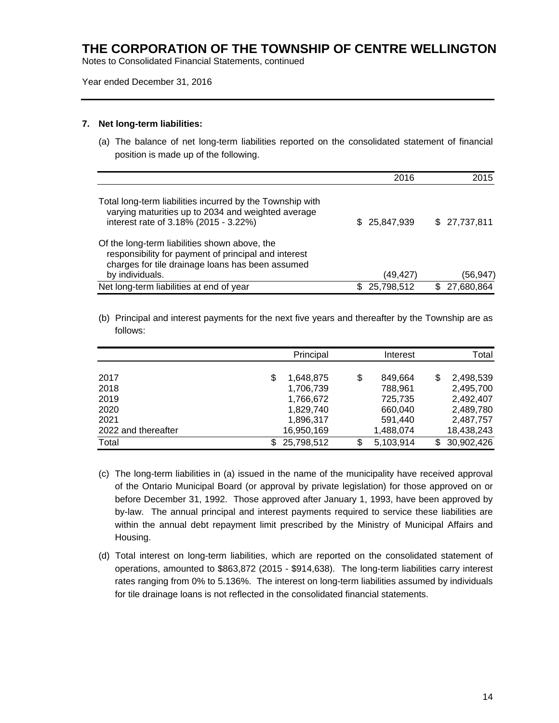Notes to Consolidated Financial Statements, continued

#### Year ended December 31, 2016

#### **7. Net long-term liabilities:**

(a) The balance of net long-term liabilities reported on the consolidated statement of financial position is made up of the following.

|                                                                                                                                                                              | 2016              | 2015             |
|------------------------------------------------------------------------------------------------------------------------------------------------------------------------------|-------------------|------------------|
| Total long-term liabilities incurred by the Township with<br>varying maturities up to 2034 and weighted average<br>interest rate of 3.18% (2015 - 3.22%)                     | 25,847,939<br>SS. | \$27,737,811     |
| Of the long-term liabilities shown above, the<br>responsibility for payment of principal and interest<br>charges for tile drainage loans has been assumed<br>by individuals. | (49,427)          | (56,947)         |
| Net long-term liabilities at end of year                                                                                                                                     | 25,798,512        | 27,680,864<br>S. |

(b) Principal and interest payments for the next five years and thereafter by the Township are as follows:

|                     | Principal  |    | Interest  |     | Total      |
|---------------------|------------|----|-----------|-----|------------|
|                     |            |    |           |     |            |
| 2017                | 1,648,875  | \$ | 849.664   | \$  | 2,498,539  |
| 2018                | 1,706,739  |    | 788,961   |     | 2,495,700  |
| 2019                | 1,766,672  |    | 725,735   |     | 2,492,407  |
| 2020                | 1,829,740  |    | 660,040   |     | 2,489,780  |
| 2021                | 1,896,317  |    | 591,440   |     | 2,487,757  |
| 2022 and thereafter | 16,950,169 |    | 1,488,074 |     | 18,438,243 |
| Total               | 25,798,512 | S. | 5,103,914 | \$. | 30,902,426 |

- (c) The long-term liabilities in (a) issued in the name of the municipality have received approval of the Ontario Municipal Board (or approval by private legislation) for those approved on or before December 31, 1992. Those approved after January 1, 1993, have been approved by by-law. The annual principal and interest payments required to service these liabilities are within the annual debt repayment limit prescribed by the Ministry of Municipal Affairs and Housing.
- (d) Total interest on long-term liabilities, which are reported on the consolidated statement of operations, amounted to \$863,872 (2015 - \$914,638). The long-term liabilities carry interest rates ranging from 0% to 5.136%. The interest on long-term liabilities assumed by individuals for tile drainage loans is not reflected in the consolidated financial statements.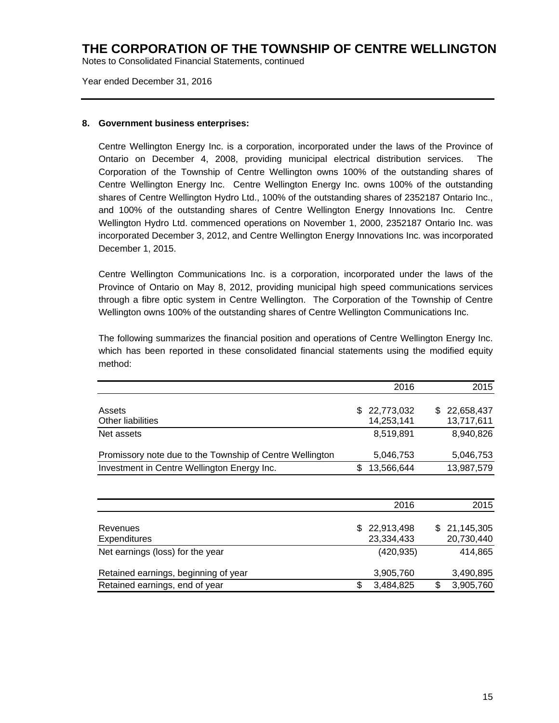Notes to Consolidated Financial Statements, continued

Year ended December 31, 2016

#### **8. Government business enterprises:**

Centre Wellington Energy Inc. is a corporation, incorporated under the laws of the Province of Ontario on December 4, 2008, providing municipal electrical distribution services. The Corporation of the Township of Centre Wellington owns 100% of the outstanding shares of Centre Wellington Energy Inc. Centre Wellington Energy Inc. owns 100% of the outstanding shares of Centre Wellington Hydro Ltd., 100% of the outstanding shares of 2352187 Ontario Inc., and 100% of the outstanding shares of Centre Wellington Energy Innovations Inc. Centre Wellington Hydro Ltd. commenced operations on November 1, 2000, 2352187 Ontario Inc. was incorporated December 3, 2012, and Centre Wellington Energy Innovations Inc. was incorporated December 1, 2015.

Centre Wellington Communications Inc. is a corporation, incorporated under the laws of the Province of Ontario on May 8, 2012, providing municipal high speed communications services through a fibre optic system in Centre Wellington. The Corporation of the Township of Centre Wellington owns 100% of the outstanding shares of Centre Wellington Communications Inc.

The following summarizes the financial position and operations of Centre Wellington Energy Inc. which has been reported in these consolidated financial statements using the modified equity method:

|                                                          | 2016                       |     | 2015                     |
|----------------------------------------------------------|----------------------------|-----|--------------------------|
| Assets                                                   | \$<br>22,773,032           | \$  | 22,658,437               |
| <b>Other liabilities</b>                                 | 14,253,141                 |     | 13,717,611               |
| Net assets                                               | 8,519,891                  |     | 8,940,826                |
| Promissory note due to the Township of Centre Wellington | 5,046,753                  |     | 5,046,753                |
| Investment in Centre Wellington Energy Inc.              | \$<br>13,566,644           |     | 13,987,579               |
|                                                          |                            |     |                          |
|                                                          | 2016                       |     | 2015                     |
| Revenues<br><b>Expenditures</b>                          | \$22,913,498<br>23,334,433 | SS. | 21,145,305<br>20,730,440 |
| Net earnings (loss) for the year                         | (420, 935)                 |     | 414,865                  |
| Retained earnings, beginning of year                     | 3,905,760                  |     | 3,490,895                |
| Retained earnings, end of year                           | \$<br>3,484,825            | \$  | 3,905,760                |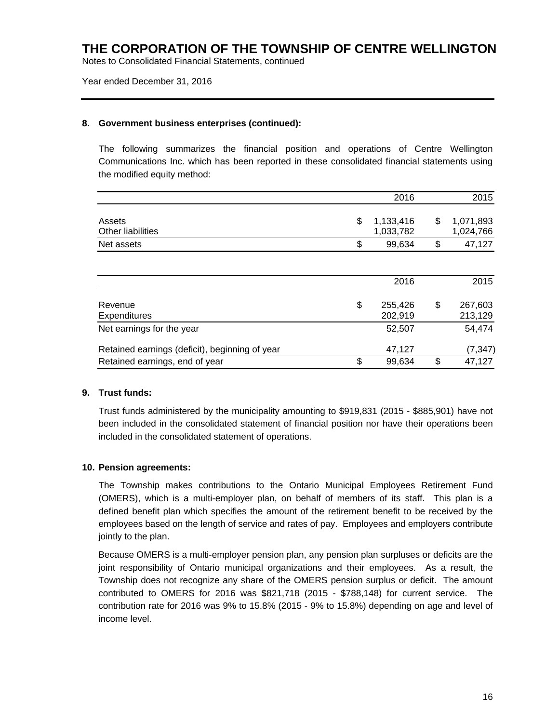Notes to Consolidated Financial Statements, continued

#### Year ended December 31, 2016

#### **8. Government business enterprises (continued):**

The following summarizes the financial position and operations of Centre Wellington Communications Inc. which has been reported in these consolidated financial statements using the modified equity method:

|                                                | 2016                         | 2015                         |
|------------------------------------------------|------------------------------|------------------------------|
| Assets<br><b>Other liabilities</b>             | \$<br>1,133,416<br>1,033,782 | \$<br>1,071,893<br>1,024,766 |
| Net assets                                     | \$<br>99,634                 | \$<br>47,127                 |
|                                                |                              |                              |
|                                                | 2016                         | 2015                         |
| Revenue<br><b>Expenditures</b>                 | \$<br>255,426<br>202,919     | \$<br>267,603<br>213,129     |
| Net earnings for the year                      | 52,507                       | 54,474                       |
| Retained earnings (deficit), beginning of year | 47,127                       | (7, 347)                     |
| Retained earnings, end of year                 | \$<br>99,634                 | \$<br>47,127                 |

#### **9. Trust funds:**

Trust funds administered by the municipality amounting to \$919,831 (2015 - \$885,901) have not been included in the consolidated statement of financial position nor have their operations been included in the consolidated statement of operations.

#### **10. Pension agreements:**

The Township makes contributions to the Ontario Municipal Employees Retirement Fund (OMERS), which is a multi-employer plan, on behalf of members of its staff. This plan is a defined benefit plan which specifies the amount of the retirement benefit to be received by the employees based on the length of service and rates of pay. Employees and employers contribute jointly to the plan.

Because OMERS is a multi-employer pension plan, any pension plan surpluses or deficits are the joint responsibility of Ontario municipal organizations and their employees. As a result, the Township does not recognize any share of the OMERS pension surplus or deficit. The amount contributed to OMERS for 2016 was \$821,718 (2015 - \$788,148) for current service. The contribution rate for 2016 was 9% to 15.8% (2015 - 9% to 15.8%) depending on age and level of income level.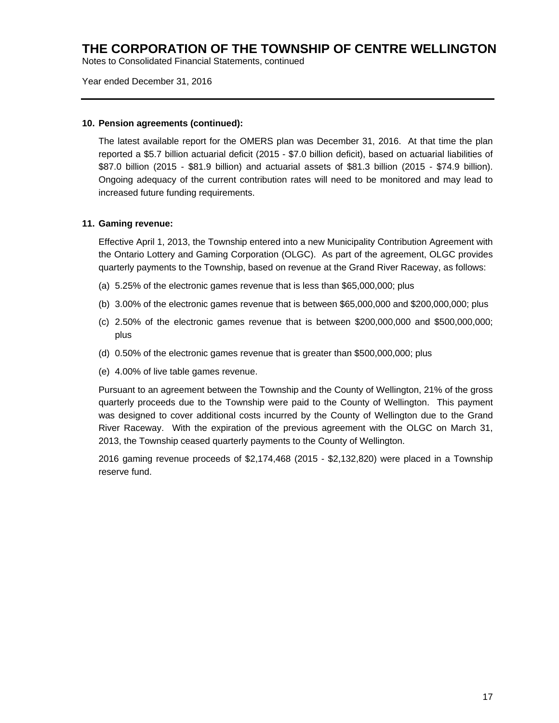Notes to Consolidated Financial Statements, continued

#### Year ended December 31, 2016

#### **10. Pension agreements (continued):**

The latest available report for the OMERS plan was December 31, 2016. At that time the plan reported a \$5.7 billion actuarial deficit (2015 - \$7.0 billion deficit), based on actuarial liabilities of \$87.0 billion (2015 - \$81.9 billion) and actuarial assets of \$81.3 billion (2015 - \$74.9 billion). Ongoing adequacy of the current contribution rates will need to be monitored and may lead to increased future funding requirements.

#### **11. Gaming revenue:**

Effective April 1, 2013, the Township entered into a new Municipality Contribution Agreement with the Ontario Lottery and Gaming Corporation (OLGC). As part of the agreement, OLGC provides quarterly payments to the Township, based on revenue at the Grand River Raceway, as follows:

- (a) 5.25% of the electronic games revenue that is less than \$65,000,000; plus
- (b) 3.00% of the electronic games revenue that is between \$65,000,000 and \$200,000,000; plus
- (c) 2.50% of the electronic games revenue that is between \$200,000,000 and \$500,000,000; plus
- (d) 0.50% of the electronic games revenue that is greater than \$500,000,000; plus
- (e) 4.00% of live table games revenue.

Pursuant to an agreement between the Township and the County of Wellington, 21% of the gross quarterly proceeds due to the Township were paid to the County of Wellington. This payment was designed to cover additional costs incurred by the County of Wellington due to the Grand River Raceway. With the expiration of the previous agreement with the OLGC on March 31, 2013, the Township ceased quarterly payments to the County of Wellington.

2016 gaming revenue proceeds of \$2,174,468 (2015 - \$2,132,820) were placed in a Township reserve fund.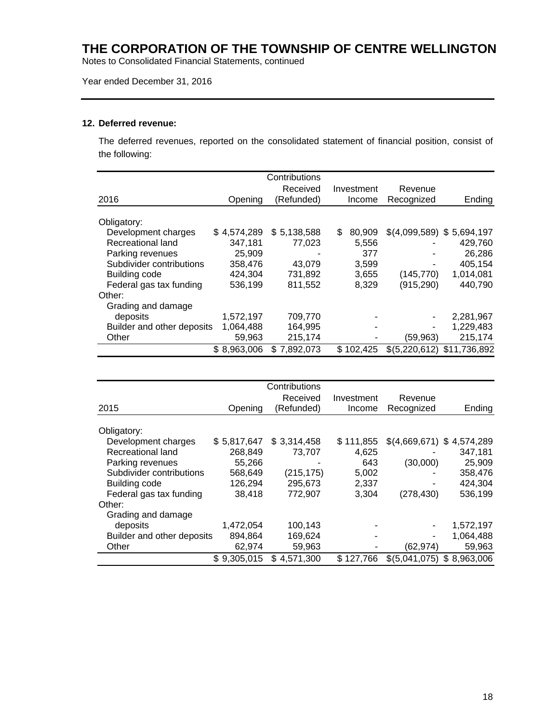Notes to Consolidated Financial Statements, continued

### Year ended December 31, 2016

#### **12. Deferred revenue:**

The deferred revenues, reported on the consolidated statement of financial position, consist of the following:

|                            |             | Contributions |              |                             |              |
|----------------------------|-------------|---------------|--------------|-----------------------------|--------------|
|                            |             | Received      | Investment   | Revenue                     |              |
| 2016                       | Opening     | (Refunded)    | Income       | Recognized                  | Ending       |
| Obligatory:                |             |               |              |                             |              |
| Development charges        | \$4,574,289 | \$5,138,588   | \$<br>80.909 | $$(4,099,589)$ \$ 5,694,197 |              |
| Recreational land          | 347,181     | 77.023        | 5,556        |                             | 429,760      |
| Parking revenues           | 25,909      |               | 377          |                             | 26,286       |
| Subdivider contributions   | 358,476     | 43,079        | 3,599        |                             | 405,154      |
| Building code              | 424,304     | 731,892       | 3,655        | (145, 770)                  | 1,014,081    |
| Federal gas tax funding    | 536,199     | 811,552       | 8,329        | (915, 290)                  | 440,790      |
| Other:                     |             |               |              |                             |              |
| Grading and damage         |             |               |              |                             |              |
| deposits                   | 1,572,197   | 709,770       |              |                             | 2,281,967    |
| Builder and other deposits | 1,064,488   | 164,995       |              |                             | 1,229,483    |
| Other                      | 59,963      | 215,174       |              | (59,963)                    | 215,174      |
|                            | \$8,963,006 | \$7,892,073   | \$102.425    | \$(5,220,612)               | \$11,736,892 |

|                            |             | Contributions   |            |                             |           |
|----------------------------|-------------|-----------------|------------|-----------------------------|-----------|
|                            |             | Received        | Investment | Revenue                     |           |
| 2015                       | Opening     | (Refunded)      | Income     | Recognized                  | Ending    |
|                            |             |                 |            |                             |           |
| Obligatory:                |             |                 |            |                             |           |
| Development charges        | \$5,817,647 | \$3,314,458     | \$111.855  | $$(4,669,671)$ \;           | 4,574,289 |
| Recreational land          | 268,849     | 73.707          | 4,625      |                             | 347,181   |
| Parking revenues           | 55,266      |                 | 643        | (30,000)                    | 25,909    |
| Subdivider contributions   | 568,649     | (215,175)       | 5,002      |                             | 358,476   |
| Building code              | 126,294     | 295,673         | 2,337      |                             | 424,304   |
| Federal gas tax funding    | 38,418      | 772,907         | 3,304      | (278, 430)                  | 536,199   |
| Other:                     |             |                 |            |                             |           |
| Grading and damage         |             |                 |            |                             |           |
| deposits                   | 1,472,054   | 100,143         |            |                             | 1,572,197 |
| Builder and other deposits | 894,864     | 169,624         |            |                             | 1,064,488 |
| Other                      | 62,974      | 59,963          |            | (62, 974)                   | 59,963    |
|                            | \$9,305,015 | \$<br>4,571,300 | \$127,766  | $$(5,041,075)$ \$ 8,963,006 |           |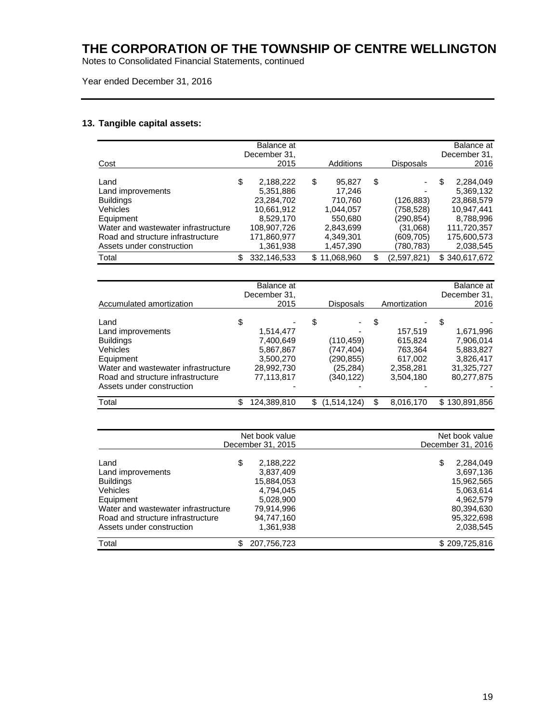Notes to Consolidated Financial Statements, continued

Buildings 7,400,649<br>
Vehicles 5,867,867

Road and structure infrastructure

#### Year ended December 31, 2016

#### **13. Tangible capital assets:**

| Cost                                                                                                                                                                            | Balance at<br>December 31,<br>2015                                                                               | Additions                                                                                        | <b>Disposals</b>                                                                 | Balance at<br>December 31,<br>2016                                                                               |
|---------------------------------------------------------------------------------------------------------------------------------------------------------------------------------|------------------------------------------------------------------------------------------------------------------|--------------------------------------------------------------------------------------------------|----------------------------------------------------------------------------------|------------------------------------------------------------------------------------------------------------------|
| Land<br>Land improvements<br><b>Buildings</b><br>Vehicles<br>Equipment<br>Water and wastewater infrastructure<br>Road and structure infrastructure<br>Assets under construction | \$<br>2,188,222<br>5,351,886<br>23.284.702<br>10,661,912<br>8,529,170<br>108.907.726<br>171,860,977<br>1,361,938 | \$<br>95,827<br>17,246<br>710.760<br>1,044,057<br>550.680<br>2,843,699<br>4,349,301<br>1,457,390 | \$<br>(126,883)<br>(758,528)<br>(290,854)<br>(31,068)<br>(609, 705)<br>(780,783) | \$<br>2,284,049<br>5,369,132<br>23,868,579<br>10,947,441<br>8,788,996<br>111,720,357<br>175,600,573<br>2,038,545 |
| Total                                                                                                                                                                           | \$<br>332,146,533                                                                                                | \$11,068,960                                                                                     | \$<br>(2,597,821)                                                                | \$340,617,672                                                                                                    |
| Accumulated amortization                                                                                                                                                        | Balance at<br>December 31,<br>2015                                                                               | Disposals                                                                                        | Amortization                                                                     | Balance at<br>December 31,<br>2016                                                                               |

Land \$ - \$ - \$ - \$ - Land improvements 1,514,477 - 157,519 1,671,996<br>Buildings 1,671,996 7,400,649 (110,459) 615,824 7,906,014

Vehicles 5,867,867 (747,404) 763,364 5,883,827 Equipment 3,500,270 (290,855) 617,002 3,826,417 Water and wastewater infrastructure 28,992,730 (25,284) 2,358,281 31,325,727

Assets under construction and the set of the set of the set of the set of the set of the set of the set of the set of the set of the set of the set of the set of the set of the set of the set of the set of the set of the s

| Total                               | \$<br>124,389,810 | \$(1,514,124) | \$<br>8,016,170 | \$130,891,856     |
|-------------------------------------|-------------------|---------------|-----------------|-------------------|
|                                     |                   |               |                 |                   |
|                                     | Net book value    |               |                 | Net book value    |
|                                     | December 31, 2015 |               |                 | December 31, 2016 |
| Land                                | \$<br>2,188,222   |               |                 | \$<br>2,284,049   |
| Land improvements                   | 3,837,409         |               |                 | 3,697,136         |
| <b>Buildings</b>                    | 15,884,053        |               |                 | 15,962,565        |
| Vehicles                            | 4,794,045         |               |                 | 5,063,614         |
| Equipment                           | 5,028,900         |               |                 | 4,962,579         |
| Water and wastewater infrastructure | 79,914,996        |               |                 | 80,394,630        |
| Road and structure infrastructure   | 94.747.160        |               |                 | 95,322,698        |
| Assets under construction           | 1.361.938         |               |                 | 2,038,545         |
| Total                               | \$<br>207,756,723 |               |                 | \$209,725,816     |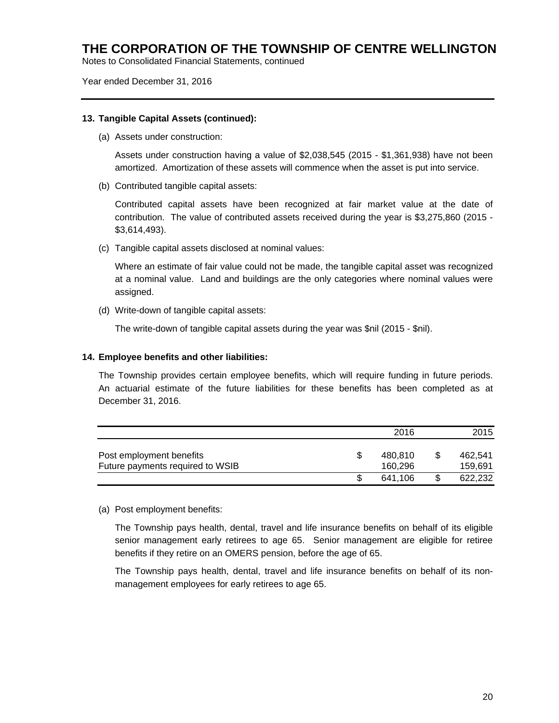Notes to Consolidated Financial Statements, continued

Year ended December 31, 2016

#### **13. Tangible Capital Assets (continued):**

(a) Assets under construction:

Assets under construction having a value of \$2,038,545 (2015 - \$1,361,938) have not been amortized. Amortization of these assets will commence when the asset is put into service.

(b) Contributed tangible capital assets:

Contributed capital assets have been recognized at fair market value at the date of contribution. The value of contributed assets received during the year is \$3,275,860 (2015 - \$3,614,493).

(c) Tangible capital assets disclosed at nominal values:

Where an estimate of fair value could not be made, the tangible capital asset was recognized at a nominal value. Land and buildings are the only categories where nominal values were assigned.

(d) Write-down of tangible capital assets:

The write-down of tangible capital assets during the year was \$nil (2015 - \$nil).

#### **14. Employee benefits and other liabilities:**

The Township provides certain employee benefits, which will require funding in future periods. An actuarial estimate of the future liabilities for these benefits has been completed as at December 31, 2016.

|                                                              | 2016               |    | 2015               |
|--------------------------------------------------------------|--------------------|----|--------------------|
| Post employment benefits<br>Future payments required to WSIB | 480.810<br>160.296 | S  | 462.541<br>159.691 |
|                                                              | 641.106            | \$ | 622.232            |

(a) Post employment benefits:

The Township pays health, dental, travel and life insurance benefits on behalf of its eligible senior management early retirees to age 65. Senior management are eligible for retiree benefits if they retire on an OMERS pension, before the age of 65.

The Township pays health, dental, travel and life insurance benefits on behalf of its nonmanagement employees for early retirees to age 65.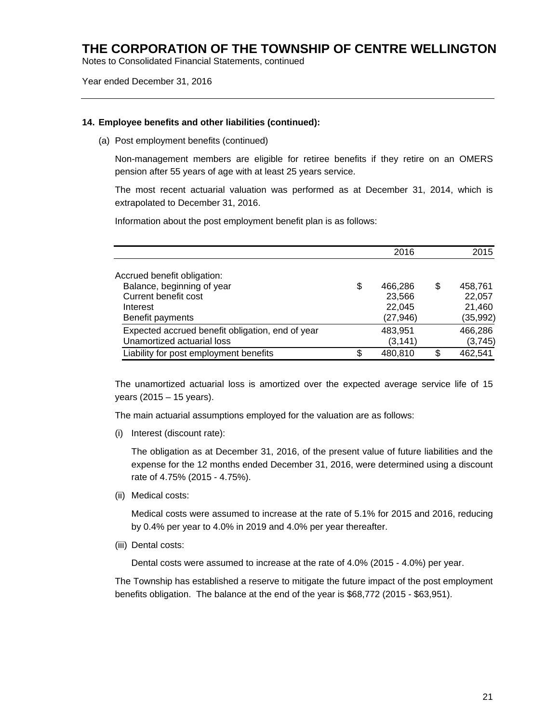Notes to Consolidated Financial Statements, continued

Year ended December 31, 2016

#### **14. Employee benefits and other liabilities (continued):**

(a) Post employment benefits (continued)

Non-management members are eligible for retiree benefits if they retire on an OMERS pension after 55 years of age with at least 25 years service.

The most recent actuarial valuation was performed as at December 31, 2014, which is extrapolated to December 31, 2016.

Information about the post employment benefit plan is as follows:

|                                                  | 2016          | 2015          |
|--------------------------------------------------|---------------|---------------|
| Accrued benefit obligation:                      |               |               |
| Balance, beginning of year                       | \$<br>466,286 | \$<br>458,761 |
| Current benefit cost                             | 23,566        | 22,057        |
| Interest                                         | 22,045        | 21,460        |
| Benefit payments                                 | (27, 946)     | (35, 992)     |
| Expected accrued benefit obligation, end of year | 483,951       | 466,286       |
| Unamortized actuarial loss                       | (3, 141)      | (3,745)       |
| Liability for post employment benefits           | \$<br>480,810 | 462,541       |

The unamortized actuarial loss is amortized over the expected average service life of 15 years (2015 – 15 years).

The main actuarial assumptions employed for the valuation are as follows:

(i) Interest (discount rate):

The obligation as at December 31, 2016, of the present value of future liabilities and the expense for the 12 months ended December 31, 2016, were determined using a discount rate of 4.75% (2015 - 4.75%).

(ii) Medical costs:

Medical costs were assumed to increase at the rate of 5.1% for 2015 and 2016, reducing by 0.4% per year to 4.0% in 2019 and 4.0% per year thereafter.

(iii) Dental costs:

Dental costs were assumed to increase at the rate of 4.0% (2015 - 4.0%) per year.

The Township has established a reserve to mitigate the future impact of the post employment benefits obligation. The balance at the end of the year is \$68,772 (2015 - \$63,951).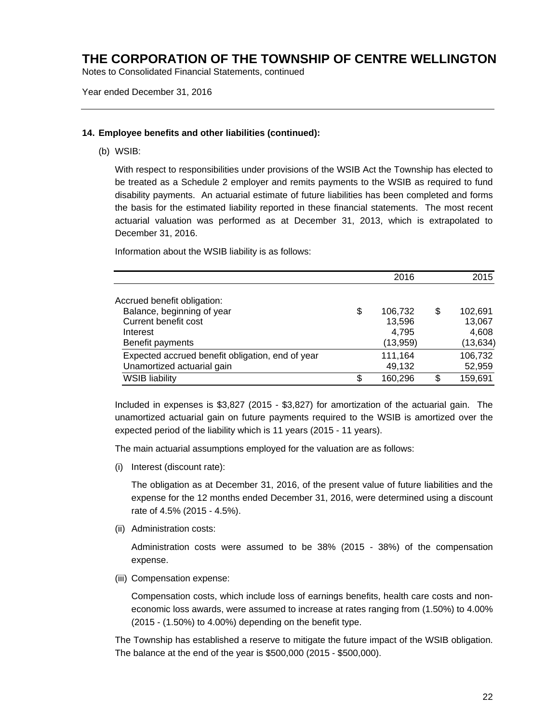Notes to Consolidated Financial Statements, continued

Year ended December 31, 2016

#### **14. Employee benefits and other liabilities (continued):**

(b) WSIB:

With respect to responsibilities under provisions of the WSIB Act the Township has elected to be treated as a Schedule 2 employer and remits payments to the WSIB as required to fund disability payments. An actuarial estimate of future liabilities has been completed and forms the basis for the estimated liability reported in these financial statements. The most recent actuarial valuation was performed as at December 31, 2013, which is extrapolated to December 31, 2016.

Information about the WSIB liability is as follows:

|                                                                                                                   | 2016                                         | 2015                                          |
|-------------------------------------------------------------------------------------------------------------------|----------------------------------------------|-----------------------------------------------|
| Accrued benefit obligation:<br>Balance, beginning of year<br>Current benefit cost<br>Interest<br>Benefit payments | \$<br>106,732<br>13,596<br>4,795<br>(13,959) | \$<br>102,691<br>13,067<br>4,608<br>(13, 634) |
| Expected accrued benefit obligation, end of year<br>Unamortized actuarial gain                                    | 111,164<br>49,132                            | 106,732<br>52,959                             |
| <b>WSIB liability</b>                                                                                             | \$<br>160,296                                | 159,691                                       |

Included in expenses is \$3,827 (2015 - \$3,827) for amortization of the actuarial gain. The unamortized actuarial gain on future payments required to the WSIB is amortized over the expected period of the liability which is 11 years (2015 - 11 years).

The main actuarial assumptions employed for the valuation are as follows:

(i) Interest (discount rate):

The obligation as at December 31, 2016, of the present value of future liabilities and the expense for the 12 months ended December 31, 2016, were determined using a discount rate of 4.5% (2015 - 4.5%).

(ii) Administration costs:

Administration costs were assumed to be 38% (2015 - 38%) of the compensation expense.

(iii) Compensation expense:

Compensation costs, which include loss of earnings benefits, health care costs and noneconomic loss awards, were assumed to increase at rates ranging from (1.50%) to 4.00% (2015 - (1.50%) to 4.00%) depending on the benefit type.

The Township has established a reserve to mitigate the future impact of the WSIB obligation. The balance at the end of the year is \$500,000 (2015 - \$500,000).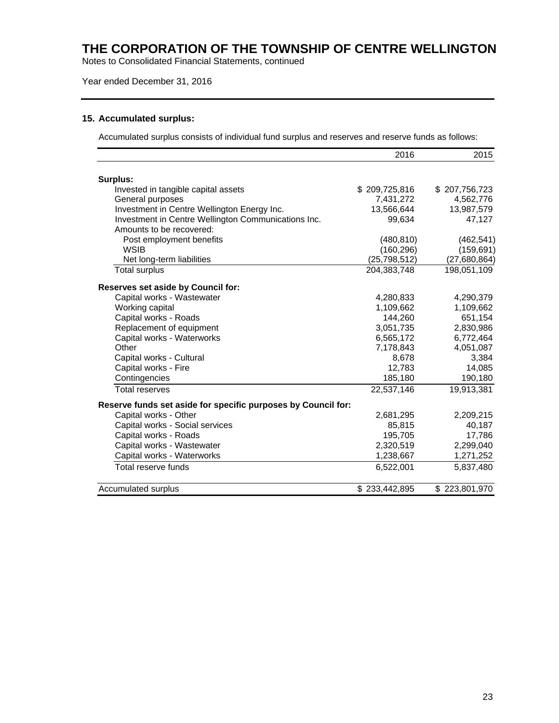Notes to Consolidated Financial Statements, continued

### Year ended December 31, 2016

### **15. Accumulated surplus:**

Accumulated surplus consists of individual fund surplus and reserves and reserve funds as follows:

|                                                               | 2016           | 2015          |
|---------------------------------------------------------------|----------------|---------------|
|                                                               |                |               |
| Surplus:                                                      |                |               |
| Invested in tangible capital assets                           | \$209,725,816  | \$207,756,723 |
| General purposes                                              | 7,431,272      | 4,562,776     |
| Investment in Centre Wellington Energy Inc.                   | 13,566,644     | 13,987,579    |
| Investment in Centre Wellington Communications Inc.           | 99,634         | 47,127        |
| Amounts to be recovered:                                      |                |               |
| Post employment benefits                                      | (480, 810)     | (462, 541)    |
| <b>WSIB</b>                                                   | (160, 296)     | (159, 691)    |
| Net long-term liabilities                                     | (25, 798, 512) | (27,680,864)  |
| <b>Total surplus</b>                                          | 204,383,748    | 198,051,109   |
| Reserves set aside by Council for:                            |                |               |
| Capital works - Wastewater                                    | 4,280,833      | 4,290,379     |
| Working capital                                               | 1,109,662      | 1,109,662     |
| Capital works - Roads                                         | 144,260        | 651,154       |
| Replacement of equipment                                      | 3,051,735      | 2,830,986     |
| Capital works - Waterworks                                    | 6,565,172      | 6,772,464     |
| Other                                                         | 7,178,843      | 4,051,087     |
| Capital works - Cultural                                      | 8,678          | 3,384         |
| Capital works - Fire                                          | 12,783         | 14,085        |
| Contingencies                                                 | 185,180        | 190,180       |
| <b>Total reserves</b>                                         | 22,537,146     | 19,913,381    |
| Reserve funds set aside for specific purposes by Council for: |                |               |
| Capital works - Other                                         | 2,681,295      | 2,209,215     |
| Capital works - Social services                               | 85,815         | 40,187        |
| Capital works - Roads                                         | 195,705        | 17,786        |
| Capital works - Wastewater                                    | 2,320,519      | 2,299,040     |
| Capital works - Waterworks                                    | 1,238,667      | 1,271,252     |
| Total reserve funds                                           | 6,522,001      | 5,837,480     |
|                                                               |                |               |
| Accumulated surplus                                           | \$233,442,895  | \$223,801,970 |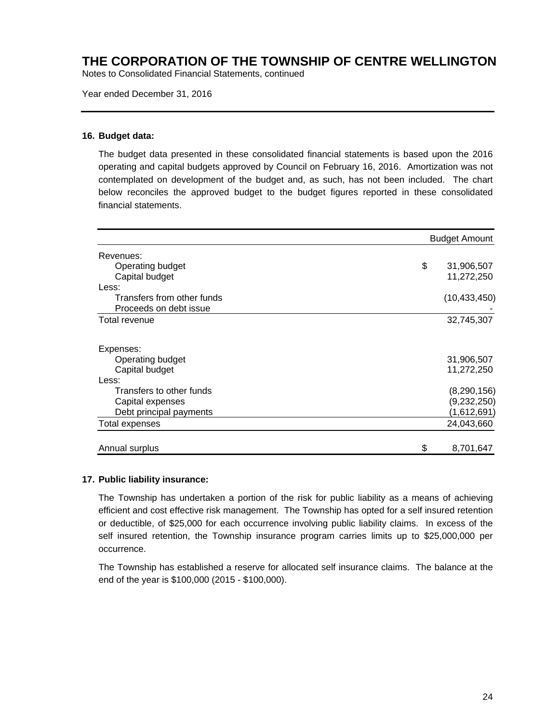Notes to Consolidated Financial Statements, continued

Year ended December 31, 2016

#### **16. Budget data:**

The budget data presented in these consolidated financial statements is based upon the 2016 operating and capital budgets approved by Council on February 16, 2016. Amortization was not contemplated on development of the budget and, as such, has not been included. The chart below reconciles the approved budget to the budget figures reported in these consolidated financial statements.

|                            | <b>Budget Amount</b> |
|----------------------------|----------------------|
| Revenues:                  |                      |
| Operating budget           | \$<br>31,906,507     |
| Capital budget             | 11,272,250           |
| Less:                      |                      |
| Transfers from other funds | (10, 433, 450)       |
| Proceeds on debt issue     |                      |
| Total revenue              | 32,745,307           |
| Expenses:                  |                      |
| Operating budget           | 31,906,507           |
| Capital budget             | 11,272,250           |
| Less:                      |                      |
| Transfers to other funds   | (8, 290, 156)        |
| Capital expenses           | (9,232,250)          |
| Debt principal payments    | (1,612,691)          |
| Total expenses             | 24,043,660           |
| Annual surplus             | \$<br>8,701,647      |

#### **17. Public liability insurance:**

The Township has undertaken a portion of the risk for public liability as a means of achieving efficient and cost effective risk management. The Township has opted for a self insured retention or deductible, of \$25,000 for each occurrence involving public liability claims. In excess of the self insured retention, the Township insurance program carries limits up to \$25,000,000 per occurrence.

The Township has established a reserve for allocated self insurance claims. The balance at the end of the year is \$100,000 (2015 - \$100,000).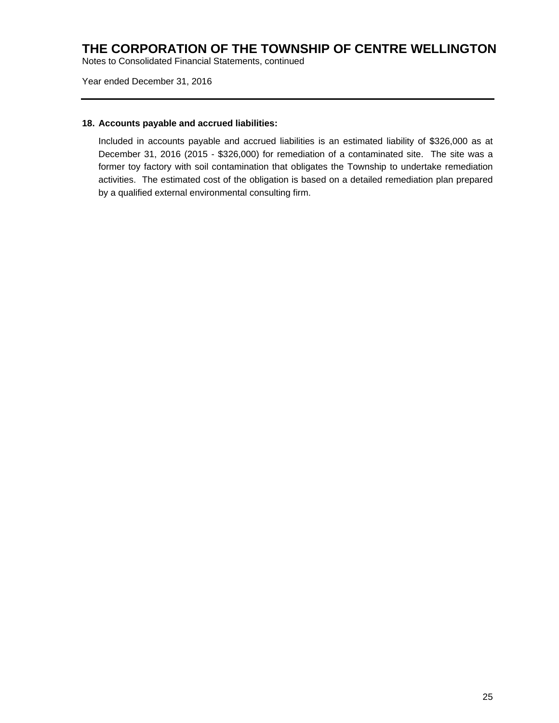Notes to Consolidated Financial Statements, continued

Year ended December 31, 2016

#### **18. Accounts payable and accrued liabilities:**

Included in accounts payable and accrued liabilities is an estimated liability of \$326,000 as at December 31, 2016 (2015 - \$326,000) for remediation of a contaminated site. The site was a former toy factory with soil contamination that obligates the Township to undertake remediation activities. The estimated cost of the obligation is based on a detailed remediation plan prepared by a qualified external environmental consulting firm.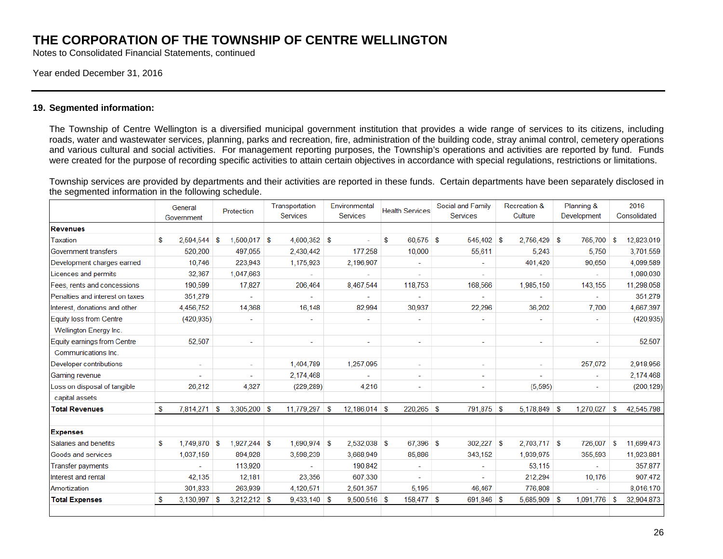Notes to Consolidated Financial Statements, continued

#### Year ended December 31, 2016

#### **19. Segmented information:**

The Township of Centre Wellington is a diversified municipal government institution that provides a wide range of services to its citizens, including roads, water and wastewater services, planning, parks and recreation, fire, administration of the building code, stray animal control, cemetery operations and various cultural and social activities. For management reporting purposes, the Township's operations and activities are reported by fund. Funds were created for the purpose of recording specific activities to attain certain objectives in accordance with special regulations, restrictions or limitations.

Township services are provided by departments and their activities are reported in these funds. Certain departments have been separately disclosed in the segmented information in the following schedule.

|                                 | General                  | Protection           | Transportation<br>Services | Environmental<br>Services | <b>Health Services</b> | Social and Family<br>Services | <b>Recreation &amp;</b><br>Culture | Planning &<br>Development | 2016<br>Consolidated |
|---------------------------------|--------------------------|----------------------|----------------------------|---------------------------|------------------------|-------------------------------|------------------------------------|---------------------------|----------------------|
|                                 | Government               |                      |                            |                           |                        |                               |                                    |                           |                      |
| <b>Revenues</b>                 |                          |                      |                            |                           |                        |                               |                                    |                           |                      |
| Taxation                        | S<br>2,594,544           | $1,500,017$ \$<br>۱S | $4,600,352$ \$             |                           | $60.575$ \$<br>S       | $545.402$ \$                  | $2.756.429$ \$                     | 765,700                   | 12,823,019<br>S      |
| Government transfers            | 520,200                  | 497,055              | 2,430,442                  | 177,258                   | 10,000                 | 55,611                        | 5,243                              | 5,750                     | 3,701,559            |
| Development charges earned      | 10,746                   | 223,943              | 1,175,923                  | 2,196,907                 |                        |                               | 401,420                            | 90,650                    | 4,099,589            |
| Licences and permits            | 32,367                   | 1,047,663            |                            |                           | ۰                      |                               |                                    |                           | 1,080,030            |
| Fees, rents and concessions     | 190,599                  | 17,827               | 206,464                    | 8,467,544                 | 118,753                | 168,566                       | 1,985,150                          | 143,155                   | 11,298,058           |
| Penalties and interest on taxes | 351,279                  |                      |                            |                           |                        |                               |                                    |                           | 351,279              |
| Interest, donations and other   | 4,456,752                | 14,368               | 16,148                     | 82,994                    | 30.937                 | 22,296                        | 36,202                             | 7,700                     | 4,667,397            |
| <b>Equity loss from Centre</b>  | (420, 935)               | $\sim$               | $\sim$                     |                           | ÷.                     | ٠                             | $\overline{\phantom{a}}$           | $\overline{\phantom{a}}$  | (420, 935)           |
| Wellington Energy Inc.          |                          |                      |                            |                           |                        |                               |                                    |                           |                      |
| Equity earnings from Centre     | 52,507                   | $\sim$               | $\sim$                     | ٠                         | ٠                      | ٠                             | $\overline{\phantom{a}}$           | $\overline{\phantom{a}}$  | 52,507               |
| Communications Inc.             |                          |                      |                            |                           |                        |                               |                                    |                           |                      |
| Developer contributions         | $\overline{\phantom{a}}$ | ٠                    | 1,404,789                  | 1,257,095                 | ۰                      | ٠                             | ÷                                  | 257,072                   | 2,918,956            |
| Gaming revenue                  |                          |                      | 2,174,468                  |                           | ÷.                     | $\overline{\phantom{a}}$      |                                    | $\tilde{\phantom{a}}$     | 2,174,468            |
| Loss on disposal of tangible    | 26,212                   | 4,327                | (229, 289)                 | 4,216                     | $\sim$                 | ٠                             | (5, 595)                           | $\overline{\phantom{a}}$  | (200, 129)           |
| capital assets                  |                          |                      |                            |                           |                        |                               |                                    |                           |                      |
| <b>Total Revenues</b>           | 7,814,271<br>S           | $3,305,200$ \$<br>ၭ  | $11,779,297$ \$            | 12.186.014 \$             | 220.265 \$             | 791.875 \$                    | $5.178.849$ \$                     | 1.270.027                 | 42,545,798<br>-S     |
| <b>Expenses</b>                 |                          |                      |                            |                           |                        |                               |                                    |                           |                      |
| Salaries and benefits           | S<br>1,749,870           | $1,927,244$ \$<br>۱s | $1,690,974$ \$             | 2,532,038 \$              | 67,396 \$              | 302,227                       | $2,703,717$ \$<br>∣\$              | 726,007                   | 11,699,473<br>-S     |
| Goods and services              | 1,037,159                | 894,928              | 3,598,239                  | 3,668,949                 | 85,886                 | 343,152                       | 1,939,975                          | 355,593                   | 11,923,881           |
| <b>Transfer payments</b>        |                          | 113,920              |                            | 190,842                   | ٠                      |                               | 53,115                             |                           | 357,877              |
| Interest and rental             | 42,135                   | 12,181               | 23,356                     | 607,330                   | ÷                      |                               | 212,294                            | 10,176                    | 907,472              |
| Amortization                    | 301,833                  | 263,939              | 4,120,571                  | 2,501,357                 | 5,195                  | 46,467                        | 776,808                            | ÷.                        | 8,016,170            |
| <b>Total Expenses</b>           | $3,130,997$ \$<br>S      | $3,212,212$ \$       | $9,433,140$ \$             | $9,500,516$ \$            | 158,477 \$             | 691,846 \$                    | $5,685,909$ \$                     | 1,091,776                 | 32,904,873<br>∣\$    |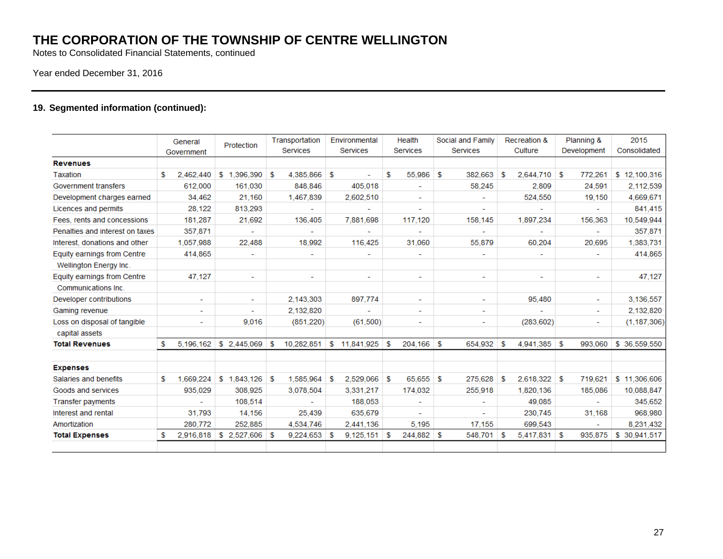Notes to Consolidated Financial Statements, continued

### Year ended December 31, 2016

### **19. Segmented information (continued):**

|                                 | General<br>Government |                          | Protection               | Transportation<br><b>Services</b> |                          | Environmental<br><b>Services</b> |                          | Health<br><b>Services</b> |                          | Social and Family<br><b>Services</b> |                          | <b>Recreation &amp;</b><br>Culture |                          | Planning &<br>Development |                          | 2015<br>Consolidated |               |
|---------------------------------|-----------------------|--------------------------|--------------------------|-----------------------------------|--------------------------|----------------------------------|--------------------------|---------------------------|--------------------------|--------------------------------------|--------------------------|------------------------------------|--------------------------|---------------------------|--------------------------|----------------------|---------------|
| <b>Revenues</b>                 |                       |                          |                          |                                   |                          |                                  |                          |                           |                          |                                      |                          |                                    |                          |                           |                          |                      |               |
| Taxation                        | S                     | 2.462,440                | 1,396,390<br>\$.         | s.                                | 4,385,866                | -S                               |                          | S                         | 55,986                   | S                                    | 382,663                  | S                                  | 2.644.710                | s.                        | 772,261                  |                      | \$12,100,316  |
| Government transfers            |                       | 612,000                  | 161,030                  |                                   | 848,846                  |                                  | 405,018                  |                           |                          |                                      | 58,245                   |                                    | 2,809                    |                           | 24,591                   |                      | 2,112,539     |
| Development charges earned      |                       | 34.462                   | 21,160                   |                                   | 1,467,839                |                                  | 2.602.510                |                           | $\sim$                   |                                      | ٠                        |                                    | 524,550                  |                           | 19,150                   |                      | 4.669.671     |
| Licences and permits            |                       | 28,122                   | 813,293                  |                                   |                          |                                  |                          |                           |                          |                                      |                          |                                    |                          |                           |                          |                      | 841.415       |
| Fees, rents and concessions     |                       | 181,287                  | 21,692                   |                                   | 136,405                  |                                  | 7.881.698                |                           | 117,120                  |                                      | 158,145                  |                                    | 1.897.234                |                           | 156,363                  |                      | 10,549,944    |
| Penalties and interest on taxes |                       | 357.871                  |                          |                                   |                          |                                  |                          |                           |                          |                                      |                          |                                    |                          |                           | ۰                        |                      | 357.871       |
| Interest, donations and other   |                       | 1,057,988                | 22,488                   |                                   | 18,992                   |                                  | 116.425                  |                           | 31,060                   |                                      | 55,879                   |                                    | 60,204                   |                           | 20,695                   |                      | 1,383,731     |
| Equity earnings from Centre     |                       | 414,865                  | ۰                        |                                   | -                        |                                  | ٠                        |                           |                          |                                      |                          |                                    |                          |                           | ۰                        |                      | 414.865       |
| Wellington Energy Inc.          |                       |                          |                          |                                   |                          |                                  |                          |                           |                          |                                      |                          |                                    |                          |                           |                          |                      |               |
| Equity earnings from Centre     |                       | 47.127                   | $\overline{\phantom{a}}$ |                                   | $\overline{\phantom{a}}$ |                                  | $\overline{\phantom{a}}$ |                           | $\overline{\phantom{a}}$ |                                      | ٠                        |                                    | $\overline{\phantom{a}}$ |                           | ٠                        |                      | 47,127        |
| Communications Inc.             |                       |                          |                          |                                   |                          |                                  |                          |                           |                          |                                      |                          |                                    |                          |                           |                          |                      |               |
| Developer contributions         |                       | $\overline{\phantom{a}}$ | $\overline{\phantom{a}}$ |                                   | 2,143,303                |                                  | 897,774                  |                           | $\overline{\phantom{a}}$ |                                      | $\overline{\phantom{a}}$ |                                    | 95,480                   |                           | $\overline{\phantom{a}}$ |                      | 3,136,557     |
| Gaming revenue                  |                       | ٠                        |                          |                                   | 2,132,820                |                                  |                          |                           |                          |                                      |                          |                                    |                          |                           | ٠                        |                      | 2,132,820     |
| Loss on disposal of tangible    |                       | ٠                        | 9.016                    |                                   | (851, 220)               |                                  | (61,500)                 |                           | $\overline{\phantom{a}}$ |                                      | $\overline{\phantom{a}}$ |                                    | (283, 602)               |                           | ۰                        |                      | (1, 187, 306) |
| capital assets                  |                       |                          |                          |                                   |                          |                                  |                          |                           |                          |                                      |                          |                                    |                          |                           |                          |                      |               |
| <b>Total Revenues</b>           | S                     | 5.196.162                | $$2.445.069$ \ \$        |                                   | 10,282,851               |                                  | \$11,841,925             | -S                        | 204,166                  | -\$                                  | 654,932 \$               |                                    | $4,941,385$ \$           |                           | 993.060                  |                      | \$ 36,559,550 |
| <b>Expenses</b>                 |                       |                          |                          |                                   |                          |                                  |                          |                           |                          |                                      |                          |                                    |                          |                           |                          |                      |               |
| Salaries and benefits           | \$                    | 1.669.224                | \$1.843.126              | -S                                | 1.585.964                | -S                               | 2.529.066                | \$.                       | 65,655                   | \$.                                  | 275,628                  | £.                                 | 2.618.322                | -S                        | 719,621                  |                      | \$11,306,606  |
| Goods and services              |                       | 935,029                  | 308,925                  |                                   | 3,078,504                |                                  | 3,331,217                |                           | 174,032                  |                                      | 255,918                  |                                    | 1,820,136                |                           | 185,086                  |                      | 10,088,847    |
| <b>Transfer payments</b>        |                       |                          | 108,514                  |                                   |                          |                                  | 188.053                  |                           |                          |                                      |                          |                                    | 49,085                   |                           |                          |                      | 345.652       |
| Interest and rental             |                       | 31,793                   | 14,156                   |                                   | 25,439                   |                                  | 635,679                  |                           |                          |                                      |                          |                                    | 230,745                  |                           | 31,168                   |                      | 968,980       |
| Amortization                    |                       | 280.772                  | 252.885                  |                                   | 4,534,746                |                                  | 2,441,136                |                           | 5.195                    |                                      | 17.155                   |                                    | 699,543                  |                           |                          |                      | 8,231,432     |
| <b>Total Expenses</b>           | S                     | 2.916.818                | \$ 2,527,606             | - \$                              | 9,224,653                | - \$                             | 9,125,151                | -S                        | 244,882                  | \$                                   | 548,701                  | s.                                 | $5,417,831$ \$           |                           | 935,875                  |                      | \$ 30,941,517 |
|                                 |                       |                          |                          |                                   |                          |                                  |                          |                           |                          |                                      |                          |                                    |                          |                           |                          |                      |               |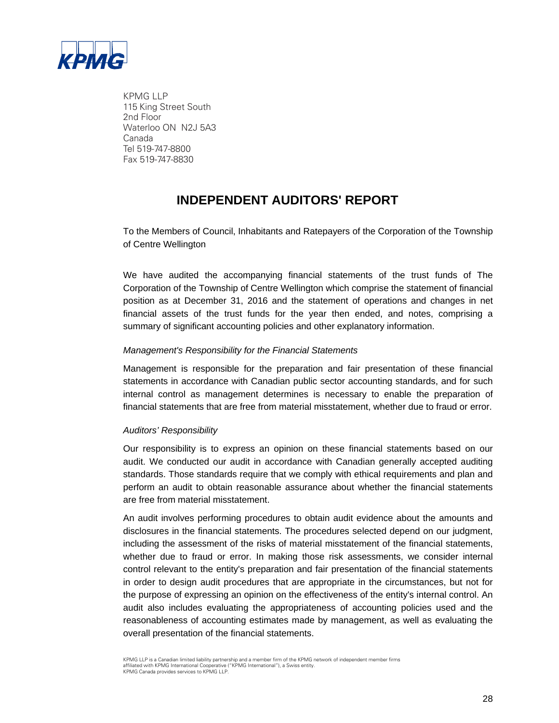

KPMG LLP 115 King Street South 2nd Floor Waterloo ON N2J 5A3 Canada Tel 519-747-8800 Fax 519-747-8830

# **INDEPENDENT AUDITORS' REPORT**

To the Members of Council, Inhabitants and Ratepayers of the Corporation of the Township of Centre Wellington

We have audited the accompanying financial statements of the trust funds of The Corporation of the Township of Centre Wellington which comprise the statement of financial position as at December 31, 2016 and the statement of operations and changes in net financial assets of the trust funds for the year then ended, and notes, comprising a summary of significant accounting policies and other explanatory information.

### *Management's Responsibility for the Financial Statements*

Management is responsible for the preparation and fair presentation of these financial statements in accordance with Canadian public sector accounting standards, and for such internal control as management determines is necessary to enable the preparation of financial statements that are free from material misstatement, whether due to fraud or error.

#### *Auditors' Responsibility*

Our responsibility is to express an opinion on these financial statements based on our audit. We conducted our audit in accordance with Canadian generally accepted auditing standards. Those standards require that we comply with ethical requirements and plan and perform an audit to obtain reasonable assurance about whether the financial statements are free from material misstatement.

An audit involves performing procedures to obtain audit evidence about the amounts and disclosures in the financial statements. The procedures selected depend on our judgment, including the assessment of the risks of material misstatement of the financial statements, whether due to fraud or error. In making those risk assessments, we consider internal control relevant to the entity's preparation and fair presentation of the financial statements in order to design audit procedures that are appropriate in the circumstances, but not for the purpose of expressing an opinion on the effectiveness of the entity's internal control. An audit also includes evaluating the appropriateness of accounting policies used and the reasonableness of accounting estimates made by management, as well as evaluating the overall presentation of the financial statements.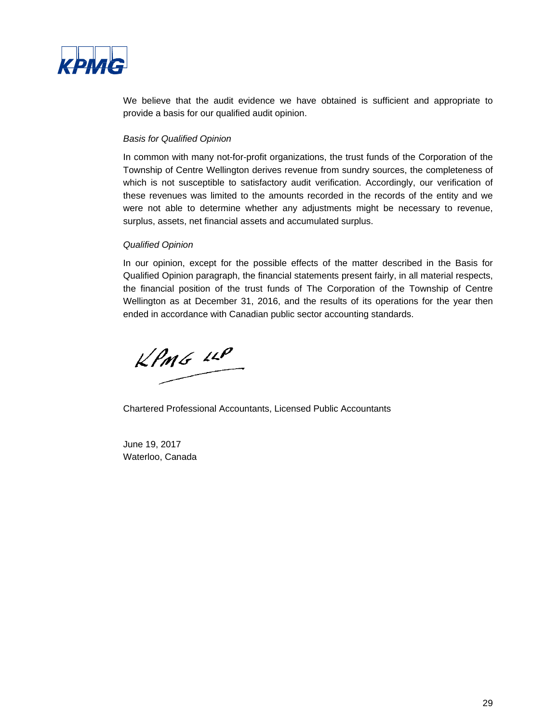

We believe that the audit evidence we have obtained is sufficient and appropriate to provide a basis for our qualified audit opinion.

#### *Basis for Qualified Opinion*

In common with many not-for-profit organizations, the trust funds of the Corporation of the Township of Centre Wellington derives revenue from sundry sources, the completeness of which is not susceptible to satisfactory audit verification. Accordingly, our verification of these revenues was limited to the amounts recorded in the records of the entity and we were not able to determine whether any adjustments might be necessary to revenue, surplus, assets, net financial assets and accumulated surplus.

### *Qualified Opinion*

In our opinion, except for the possible effects of the matter described in the Basis for Qualified Opinion paragraph, the financial statements present fairly, in all material respects, the financial position of the trust funds of The Corporation of the Township of Centre Wellington as at December 31, 2016, and the results of its operations for the year then ended in accordance with Canadian public sector accounting standards.

 $KPMG$  14P

Chartered Professional Accountants, Licensed Public Accountants

June 19, 2017 Waterloo, Canada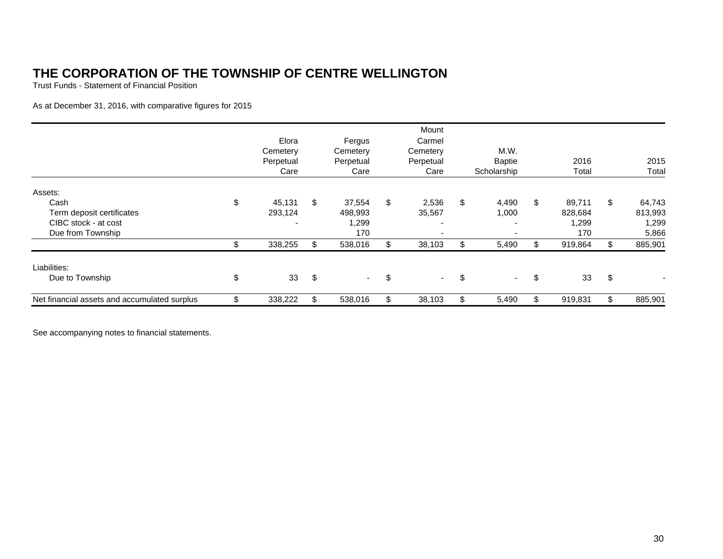Trust Funds - Statement of Financial Position

As at December 31, 2016, with comparative figures for 2015

|                                              | Elora<br>Cemetery<br>Perpetual<br>Care | Fergus<br>Cemetery<br>Perpetual<br>Care | Mount<br>Carmel<br>Cemetery<br>Perpetual<br>Care | M.W.<br><b>Baptie</b><br>Scholarship |     | 2016<br>Total | 2015<br>Total |
|----------------------------------------------|----------------------------------------|-----------------------------------------|--------------------------------------------------|--------------------------------------|-----|---------------|---------------|
| Assets:                                      |                                        |                                         |                                                  |                                      |     |               |               |
| Cash                                         | \$<br>45,131                           | \$<br>37,554                            | \$<br>2,536                                      | \$<br>4,490                          | \$  | 89,711        | \$<br>64,743  |
| Term deposit certificates                    | 293,124                                | 498,993                                 | 35,567                                           | 1,000                                |     | 828,684       | 813,993       |
| CIBC stock - at cost                         |                                        | 1,299                                   | $\overline{\phantom{0}}$                         |                                      |     | 1,299         | 1,299         |
| Due from Township                            |                                        | 170                                     | $\overline{\phantom{0}}$                         |                                      |     | 170           | 5,866         |
|                                              | 338,255                                | \$<br>538,016                           | \$<br>38,103                                     | 5,490                                | \$  | 919,864       | \$<br>885,901 |
| Liabilities:                                 |                                        |                                         |                                                  |                                      |     |               |               |
| Due to Township                              | \$<br>33                               | \$<br>$\sim$                            | \$<br>н.                                         | \$<br>$\sim$                         | \$  | 33            | \$            |
| Net financial assets and accumulated surplus | 338,222                                | \$<br>538,016                           | 38,103                                           | 5,490                                | \$. | 919,831       | \$<br>885,901 |

See accompanying notes to financial statements.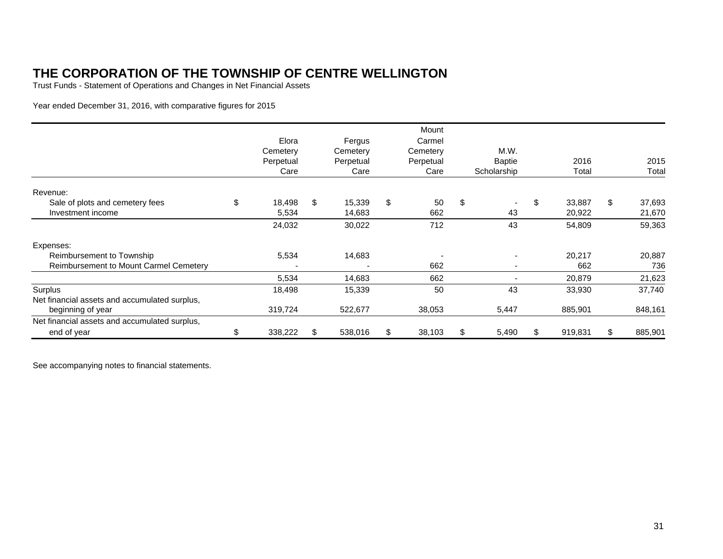Trust Funds - Statement of Operations and Changes in Net Financial Assets

Year ended December 31, 2016, with comparative figures for 2015

|                                               |               |     |           | Mount        |    |               |               |               |
|-----------------------------------------------|---------------|-----|-----------|--------------|----|---------------|---------------|---------------|
|                                               | Elora         |     | Fergus    | Carmel       |    |               |               |               |
|                                               | Cemetery      |     | Cemetery  | Cemetery     |    | M.W.          |               |               |
|                                               | Perpetual     |     | Perpetual | Perpetual    |    | <b>Baptie</b> | 2016          | 2015          |
|                                               | Care          |     | Care      | Care         |    | Scholarship   | Total         | Total         |
| Revenue:                                      |               |     |           |              |    |               |               |               |
| Sale of plots and cemetery fees               | \$<br>18,498  | \$  | 15,339    | \$<br>50     | \$ |               | \$<br>33.887  | \$<br>37,693  |
| Investment income                             | 5,534         |     | 14,683    | 662          |    | 43            | 20,922        | 21,670        |
|                                               | 24,032        |     | 30,022    | 712          |    | 43            | 54,809        | 59,363        |
| Expenses:                                     |               |     |           |              |    |               |               |               |
| Reimbursement to Township                     | 5,534         |     | 14,683    |              |    |               | 20,217        | 20,887        |
| Reimbursement to Mount Carmel Cemetery        |               |     |           | 662          |    |               | 662           | 736           |
|                                               | 5,534         |     | 14,683    | 662          |    |               | 20,879        | 21,623        |
| Surplus                                       | 18,498        |     | 15,339    | 50           |    | 43            | 33,930        | 37,740        |
| Net financial assets and accumulated surplus, |               |     |           |              |    |               |               |               |
| beginning of year                             | 319,724       |     | 522,677   | 38,053       |    | 5,447         | 885,901       | 848,161       |
| Net financial assets and accumulated surplus, |               |     |           |              |    |               |               |               |
| end of year                                   | \$<br>338,222 | \$. | 538,016   | \$<br>38,103 | S  | 5,490         | \$<br>919,831 | \$<br>885,901 |

See accompanying notes to financial statements.